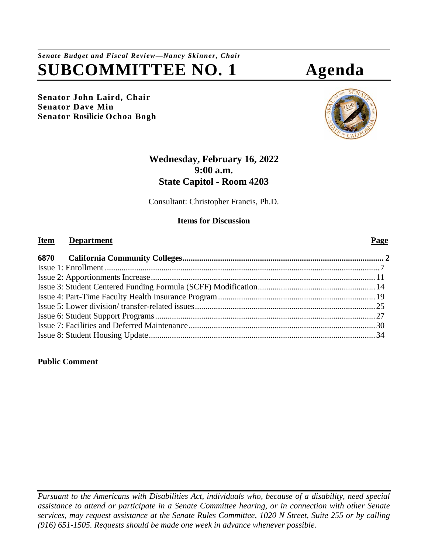# *Senate Budget and Fiscal Review—Nancy Skinner, Chair* **SUBCOMMITTEE NO. 1 Agenda**

**Senator John Laird, Chair Senator Dave Min Senator Rosilicie Ochoa Bogh**

## **Wednesday, February 16, 2022 9:00 a.m. State Capitol - Room 4203**

Consultant: Christopher Francis, Ph.D.

### **Items for Discussion**

#### **Item Department Page**

#### **Public Comment**

*Pursuant to the Americans with Disabilities Act, individuals who, because of a disability, need special assistance to attend or participate in a Senate Committee hearing, or in connection with other Senate services, may request assistance at the Senate Rules Committee, 1020 N Street, Suite 255 or by calling (916) 651-1505. Requests should be made one week in advance whenever possible.*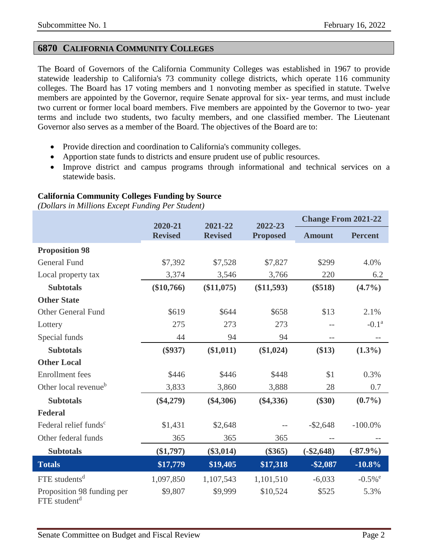### <span id="page-1-0"></span>**6870 CALIFORNIA COMMUNITY COLLEGES**

The Board of Governors of the California Community Colleges was established in 1967 to provide statewide leadership to California's 73 community college districts, which operate 116 community colleges. The Board has 17 voting members and 1 nonvoting member as specified in statute. Twelve members are appointed by the Governor, require Senate approval for six- year terms, and must include two current or former local board members. Five members are appointed by the Governor to two- year terms and include two students, two faculty members, and one classified member. The Lieutenant Governor also serves as a member of the Board. The objectives of the Board are to:

- Provide direction and coordination to California's community colleges.
- Apportion state funds to districts and ensure prudent use of public resources.
- Improve district and campus programs through informational and technical services on a statewide basis.

#### **California Community Colleges Funding by Source**

*(Dollars in Millions Except Funding Per Student)*

|                                                        | 2020-21        | 2021-22        | 2022-23         | <b>Change From 2021-22</b> |                       |
|--------------------------------------------------------|----------------|----------------|-----------------|----------------------------|-----------------------|
|                                                        | <b>Revised</b> | <b>Revised</b> | <b>Proposed</b> | <b>Amount</b>              | <b>Percent</b>        |
| <b>Proposition 98</b>                                  |                |                |                 |                            |                       |
| <b>General Fund</b>                                    | \$7,392        | \$7,528        | \$7,827         | \$299                      | 4.0%                  |
| Local property tax                                     | 3,374          | 3,546          | 3,766           | 220                        | 6.2                   |
| <b>Subtotals</b>                                       | $(\$10,766)$   | (\$11,075)     | (\$11,593)      | $(\$518)$                  | $(4.7\%)$             |
| <b>Other State</b>                                     |                |                |                 |                            |                       |
| <b>Other General Fund</b>                              | \$619          | \$644          | \$658           | \$13                       | 2.1%                  |
| Lottery                                                | 275            | 273            | 273             | $-$                        | $-0.1a$               |
| Special funds                                          | 44             | 94             | 94              | $-$                        |                       |
| <b>Subtotals</b>                                       | $(\$937)$      | (\$1,011)      | $(\$1,024)$     | (\$13)                     | $(1.3\%)$             |
| <b>Other Local</b>                                     |                |                |                 |                            |                       |
| <b>Enrollment</b> fees                                 | \$446          | \$446          | \$448           | \$1                        | 0.3%                  |
| Other local revenue <sup>b</sup>                       | 3,833          | 3,860          | 3,888           | 28                         | 0.7                   |
| <b>Subtotals</b>                                       | $(\$4,279)$    | $(\$4,306)$    | $(\$4,336)$     | $(\$30)$                   | $(0.7\%)$             |
| <b>Federal</b>                                         |                |                |                 |                            |                       |
| Federal relief funds <sup>c</sup>                      | \$1,431        | \$2,648        |                 | $-$ \$2,648                | $-100.0\%$            |
| Other federal funds                                    | 365            | 365            | 365             | $-$                        |                       |
| <b>Subtotals</b>                                       | $(\$1,797)$    | $(\$3,014)$    | $(\$365)$       | $(-\$2,648)$               | $(-87.9\%)$           |
| <b>Totals</b>                                          | \$17,779       | \$19,405       | \$17,318        | $-$ \$2,087                | $-10.8\%$             |
| $FTE$ students <sup>d</sup>                            | 1,097,850      | 1,107,543      | 1,101,510       | $-6,033$                   | $-0.5\%$ <sup>e</sup> |
| Proposition 98 funding per<br>FTE student <sup>d</sup> | \$9,807        | \$9,999        | \$10,524        | \$525                      | 5.3%                  |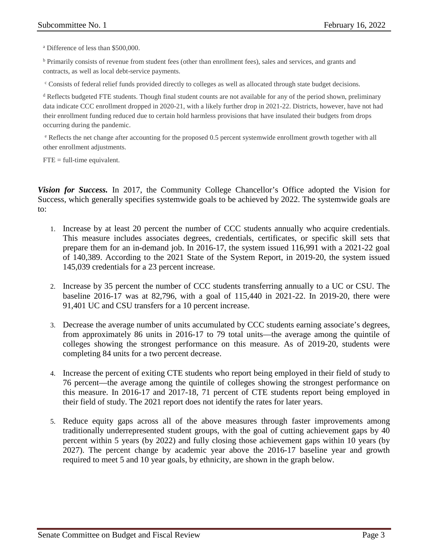<sup>a</sup> Difference of less than \$500,000.

<sup>b</sup> Primarily consists of revenue from student fees (other than enrollment fees), sales and services, and grants and contracts, as well as local debt-service payments.

<sup>c</sup> Consists of federal relief funds provided directly to colleges as well as allocated through state budget decisions.

<sup>d</sup> Reflects budgeted FTE students. Though final student counts are not available for any of the period shown, preliminary data indicate CCC enrollment dropped in 2020-21, with a likely further drop in 2021-22. Districts, however, have not had their enrollment funding reduced due to certain hold harmless provisions that have insulated their budgets from drops occurring during the pandemic.

<sup>e</sup> Reflects the net change after accounting for the proposed 0.5 percent systemwide enrollment growth together with all other enrollment adjustments.

 $FTE = full-time equivalent.$ 

*Vision for Success.* In 2017, the Community College Chancellor's Office adopted the Vision for Success, which generally specifies systemwide goals to be achieved by 2022. The systemwide goals are to:

- 1. Increase by at least 20 percent the number of CCC students annually who acquire credentials. This measure includes associates degrees, credentials, certificates, or specific skill sets that prepare them for an in-demand job. In 2016-17, the system issued 116,991 with a 2021-22 goal of 140,389. According to the 2021 State of the System Report, in 2019-20, the system issued 145,039 credentials for a 23 percent increase.
- 2. Increase by 35 percent the number of CCC students transferring annually to a UC or CSU. The baseline 2016-17 was at 82,796, with a goal of 115,440 in 2021-22. In 2019-20, there were 91,401 UC and CSU transfers for a 10 percent increase.
- 3. Decrease the average number of units accumulated by CCC students earning associate's degrees, from approximately 86 units in 2016-17 to 79 total units—the average among the quintile of colleges showing the strongest performance on this measure. As of 2019-20, students were completing 84 units for a two percent decrease.
- 4. Increase the percent of exiting CTE students who report being employed in their field of study to 76 percent—the average among the quintile of colleges showing the strongest performance on this measure. In 2016-17 and 2017-18, 71 percent of CTE students report being employed in their field of study. The 2021 report does not identify the rates for later years.
- 5. Reduce equity gaps across all of the above measures through faster improvements among traditionally underrepresented student groups, with the goal of cutting achievement gaps by 40 percent within 5 years (by 2022) and fully closing those achievement gaps within 10 years (by 2027). The percent change by academic year above the 2016-17 baseline year and growth required to meet 5 and 10 year goals, by ethnicity, are shown in the graph below.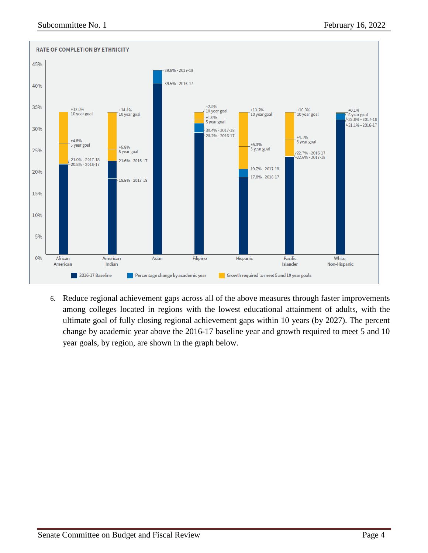

6. Reduce regional achievement gaps across all of the above measures through faster improvements among colleges located in regions with the lowest educational attainment of adults, with the ultimate goal of fully closing regional achievement gaps within 10 years (by 2027). The percent change by academic year above the 2016-17 baseline year and growth required to meet 5 and 10 year goals, by region, are shown in the graph below.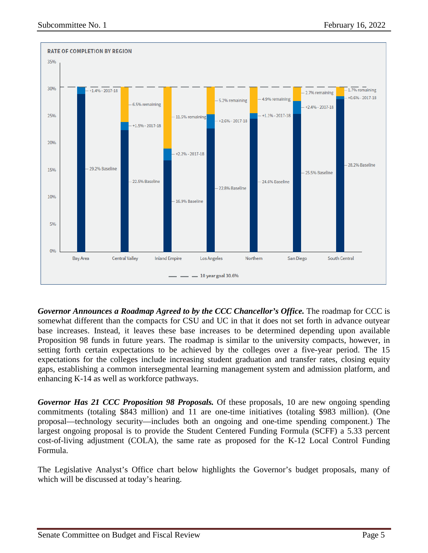

*Governor Announces a Roadmap Agreed to by the CCC Chancellor's Office.* The roadmap for CCC is somewhat different than the compacts for CSU and UC in that it does not set forth in advance outyear base increases. Instead, it leaves these base increases to be determined depending upon available Proposition 98 funds in future years. The roadmap is similar to the university compacts, however, in setting forth certain expectations to be achieved by the colleges over a five-year period. The 15 expectations for the colleges include increasing student graduation and transfer rates, closing equity gaps, establishing a common intersegmental learning management system and admission platform, and enhancing K-14 as well as workforce pathways.

*Governor Has 21 CCC Proposition 98 Proposals.* Of these proposals, 10 are new ongoing spending commitments (totaling \$843 million) and 11 are one-time initiatives (totaling \$983 million). (One proposal—technology security—includes both an ongoing and one-time spending component.) The largest ongoing proposal is to provide the Student Centered Funding Formula (SCFF) a 5.33 percent cost-of-living adjustment (COLA), the same rate as proposed for the K-12 Local Control Funding Formula.

The Legislative Analyst's Office chart below highlights the Governor's budget proposals, many of which will be discussed at today's hearing.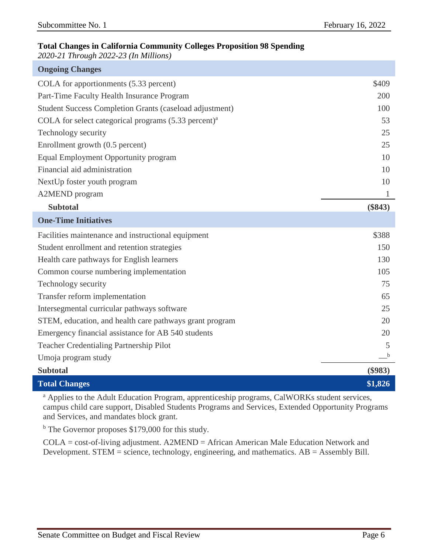### **Total Changes in California Community Colleges Proposition 98 Spending**

*2020-21 Through 2022-23 (In Millions)*

| <b>Ongoing Changes</b>                                          |           |
|-----------------------------------------------------------------|-----------|
| COLA for apportionments (5.33 percent)                          | \$409     |
| Part-Time Faculty Health Insurance Program                      | 200       |
| <b>Student Success Completion Grants (caseload adjustment)</b>  | 100       |
| COLA for select categorical programs $(5.33 \text{ percent})^a$ | 53        |
| Technology security                                             | 25        |
| Enrollment growth (0.5 percent)                                 | 25        |
| Equal Employment Opportunity program                            | 10        |
| Financial aid administration                                    | 10        |
| NextUp foster youth program                                     | 10        |
| <b>A2MEND</b> program                                           | 1         |
| <b>Subtotal</b>                                                 | $(\$843)$ |
| <b>One-Time Initiatives</b>                                     |           |
| Facilities maintenance and instructional equipment              | \$388     |
| Student enrollment and retention strategies                     | 150       |
| Health care pathways for English learners                       | 130       |
| Common course numbering implementation                          | 105       |
| Technology security                                             | 75        |
| Transfer reform implementation                                  | 65        |
| Intersegmental curricular pathways software                     | 25        |
| STEM, education, and health care pathways grant program         | 20        |
| Emergency financial assistance for AB 540 students              | 20        |
| <b>Teacher Credentialing Partnership Pilot</b>                  | 5         |
| Umoja program study                                             | b         |
| <b>Subtotal</b>                                                 | $(\$983)$ |
| <b>Total Changes</b>                                            | \$1,826   |

<sup>a</sup> Applies to the Adult Education Program, apprenticeship programs, CalWORKs student services, campus child care support, Disabled Students Programs and Services, Extended Opportunity Programs and Services, and mandates block grant.

<sup>b</sup> The Governor proposes \$179,000 for this study.

COLA = cost-of-living adjustment. A2MEND = African American Male Education Network and Development. STEM = science, technology, engineering, and mathematics. AB = Assembly Bill.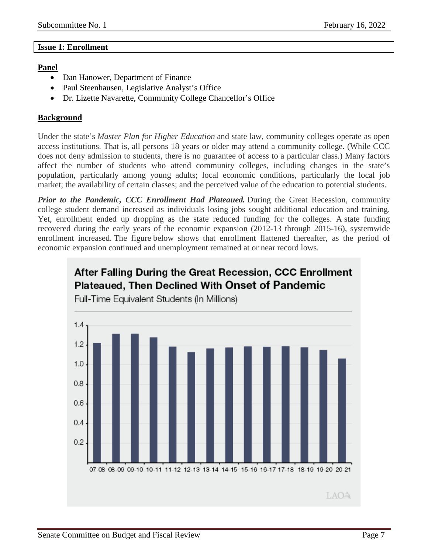#### <span id="page-6-0"></span>**Issue 1: Enrollment**

#### **Panel**

- Dan Hanower, Department of Finance
- Paul Steenhausen, Legislative Analyst's Office
- Dr. Lizette Navarette, Community College Chancellor's Office

#### **Background**

Under the state's *Master Plan for Higher Education* and state law, community colleges operate as open access institutions. That is, all persons 18 years or older may attend a community college. (While CCC does not deny admission to students, there is no guarantee of access to a particular class.) Many factors affect the number of students who attend community colleges, including changes in the state's population, particularly among young adults; local economic conditions, particularly the local job market; the availability of certain classes; and the perceived value of the education to potential students.

*Prior to the Pandemic, CCC Enrollment Had Plateaued.* During the Great Recession, community college student demand increased as individuals losing jobs sought additional education and training. Yet, enrollment ended up dropping as the state reduced funding for the colleges. A state funding recovered during the early years of the economic expansion (2012-13 through 2015-16), systemwide enrollment increased. The figure below shows that enrollment flattened thereafter, as the period of economic expansion continued and unemployment remained at or near record lows.

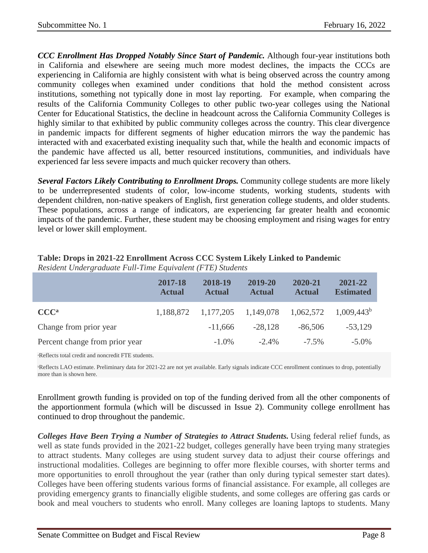*CCC Enrollment Has Dropped Notably Since Start of Pandemic.* Although four-year institutions both in California and elsewhere are seeing much more modest declines, the impacts the CCCs are experiencing in California are highly consistent with what is being observed across the country among community colleges when examined under conditions that hold the method consistent across institutions, something not typically done in most lay reporting. For example, when comparing the results of the California Community Colleges to other public two-year colleges using the National Center for Educational Statistics, the decline in headcount across the California Community Colleges is highly similar to that exhibited by public community colleges across the country. This clear divergence in pandemic impacts for different segments of higher education mirrors the way the pandemic has interacted with and exacerbated existing inequality such that, while the health and economic impacts of the pandemic have affected us all, better resourced institutions, communities, and individuals have experienced far less severe impacts and much quicker recovery than others.

*Several Factors Likely Contributing to Enrollment Drops.* Community college students are more likely to be underrepresented students of color, low-income students, working students, students with dependent children, non-native speakers of English, first generation college students, and older students. These populations, across a range of indicators, are experiencing far greater health and economic impacts of the pandemic. Further, these student may be choosing employment and rising wages for entry level or lower skill employment.

|                                | 2017-18<br><b>Actual</b> | 2018-19<br><b>Actual</b> | 2019-20<br><b>Actual</b> | 2020-21<br><b>Actual</b> | 2021-22<br><b>Estimated</b> |
|--------------------------------|--------------------------|--------------------------|--------------------------|--------------------------|-----------------------------|
| CCC <sup>a</sup>               | 1,188,872                | 1,177,205                | 1,149,078                | 1,062,572                | $1,009,443^b$               |
| Change from prior year         |                          | $-11,666$                | $-28.128$                | $-86,506$                | $-53,129$                   |
| Percent change from prior year |                          | $-1.0\%$                 | $-2.4\%$                 | $-7.5\%$                 | $-5.0\%$                    |

#### **Table: Drops in 2021-22 Enrollment Across CCC System Likely Linked to Pandemic** *Resident Undergraduate Full-Time Equivalent (FTE) Students*

a Reflects total credit and noncredit FTE students.

PReflects LAO estimate. Preliminary data for 2021-22 are not yet available. Early signals indicate CCC enrollment continues to drop, potentially more than is shown here.

Enrollment growth funding is provided on top of the funding derived from all the other components of the apportionment formula (which will be discussed in Issue 2). Community college enrollment has continued to drop throughout the pandemic.

*Colleges Have Been Trying a Number of Strategies to Attract Students.* Using federal relief funds, as well as state funds provided in the 2021-22 budget, colleges generally have been trying many strategies to attract students. Many colleges are using student survey data to adjust their course offerings and instructional modalities. Colleges are beginning to offer more flexible courses, with shorter terms and more opportunities to enroll throughout the year (rather than only during typical semester start dates). Colleges have been offering students various forms of financial assistance. For example, all colleges are providing emergency grants to financially eligible students, and some colleges are offering gas cards or book and meal vouchers to students who enroll. Many colleges are loaning laptops to students. Many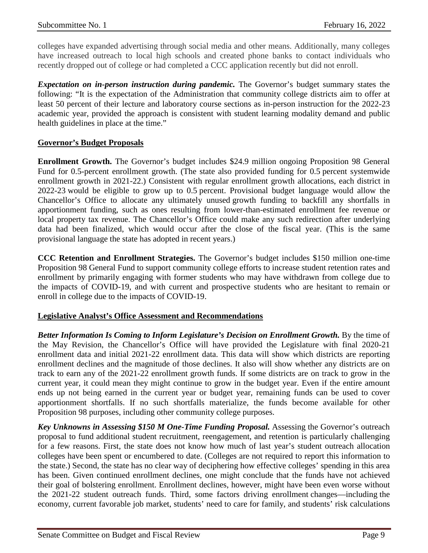colleges have expanded advertising through social media and other means. Additionally, many colleges have increased outreach to local high schools and created phone banks to contact individuals who recently dropped out of college or had completed a CCC application recently but did not enroll.

*Expectation on in-person instruction during pandemic.* The Governor's budget summary states the following: "It is the expectation of the Administration that community college districts aim to offer at least 50 percent of their lecture and laboratory course sections as in-person instruction for the 2022-23 academic year, provided the approach is consistent with student learning modality demand and public health guidelines in place at the time."

#### **Governor's Budget Proposals**

**Enrollment Growth.** The Governor's budget includes \$24.9 million ongoing Proposition 98 General Fund for 0.5-percent enrollment growth. (The state also provided funding for 0.5 percent systemwide enrollment growth in 2021-22.) Consistent with regular enrollment growth allocations, each district in 2022-23 would be eligible to grow up to 0.5 percent. Provisional budget language would allow the Chancellor's Office to allocate any ultimately unused growth funding to backfill any shortfalls in apportionment funding, such as ones resulting from lower-than-estimated enrollment fee revenue or local property tax revenue. The Chancellor's Office could make any such redirection after underlying data had been finalized, which would occur after the close of the fiscal year. (This is the same provisional language the state has adopted in recent years.)

**CCC Retention and Enrollment Strategies.** The Governor's budget includes \$150 million one-time Proposition 98 General Fund to support community college efforts to increase student retention rates and enrollment by primarily engaging with former students who may have withdrawn from college due to the impacts of COVID-19, and with current and prospective students who are hesitant to remain or enroll in college due to the impacts of COVID-19.

#### **Legislative Analyst's Office Assessment and Recommendations**

*Better Information Is Coming to Inform Legislature's Decision on Enrollment Growth.* By the time of the May Revision, the Chancellor's Office will have provided the Legislature with final 2020-21 enrollment data and initial 2021-22 enrollment data. This data will show which districts are reporting enrollment declines and the magnitude of those declines. It also will show whether any districts are on track to earn any of the 2021-22 enrollment growth funds. If some districts are on track to grow in the current year, it could mean they might continue to grow in the budget year. Even if the entire amount ends up not being earned in the current year or budget year, remaining funds can be used to cover apportionment shortfalls. If no such shortfalls materialize, the funds become available for other Proposition 98 purposes, including other community college purposes.

*Key Unknowns in Assessing \$150 M One-Time Funding Proposal.* Assessing the Governor's outreach proposal to fund additional student recruitment, reengagement, and retention is particularly challenging for a few reasons. First, the state does not know how much of last year's student outreach allocation colleges have been spent or encumbered to date. (Colleges are not required to report this information to the state.) Second, the state has no clear way of deciphering how effective colleges' spending in this area has been. Given continued enrollment declines, one might conclude that the funds have not achieved their goal of bolstering enrollment. Enrollment declines, however, might have been even worse without the 2021-22 student outreach funds. Third, some factors driving enrollment changes—including the economy, current favorable job market, students' need to care for family, and students' risk calculations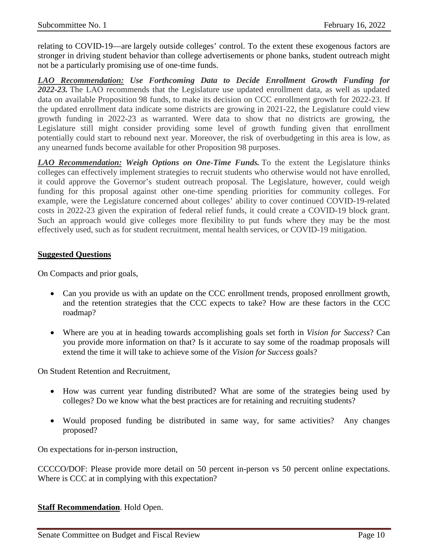relating to COVID-19—are largely outside colleges' control. To the extent these exogenous factors are stronger in driving student behavior than college advertisements or phone banks, student outreach might not be a particularly promising use of one-time funds.

*LAO Recommendation: Use Forthcoming Data to Decide Enrollment Growth Funding for 2022-23.* The LAO recommends that the Legislature use updated enrollment data, as well as updated data on available Proposition 98 funds, to make its decision on CCC enrollment growth for 2022-23. If the updated enrollment data indicate some districts are growing in 2021-22, the Legislature could view growth funding in 2022-23 as warranted. Were data to show that no districts are growing, the Legislature still might consider providing some level of growth funding given that enrollment potentially could start to rebound next year. Moreover, the risk of overbudgeting in this area is low, as any unearned funds become available for other Proposition 98 purposes.

*LAO Recommendation: Weigh Options on One-Time Funds.* To the extent the Legislature thinks colleges can effectively implement strategies to recruit students who otherwise would not have enrolled, it could approve the Governor's student outreach proposal. The Legislature, however, could weigh funding for this proposal against other one-time spending priorities for community colleges. For example, were the Legislature concerned about colleges' ability to cover continued COVID-19-related costs in 2022-23 given the expiration of federal relief funds, it could create a COVID-19 block grant. Such an approach would give colleges more flexibility to put funds where they may be the most effectively used, such as for student recruitment, mental health services, or COVID-19 mitigation.

#### **Suggested Questions**

On Compacts and prior goals,

- Can you provide us with an update on the CCC enrollment trends, proposed enrollment growth, and the retention strategies that the CCC expects to take? How are these factors in the CCC roadmap?
- Where are you at in heading towards accomplishing goals set forth in *Vision for Success*? Can you provide more information on that? Is it accurate to say some of the roadmap proposals will extend the time it will take to achieve some of the *Vision for Success* goals?

On Student Retention and Recruitment,

- How was current year funding distributed? What are some of the strategies being used by colleges? Do we know what the best practices are for retaining and recruiting students?
- Would proposed funding be distributed in same way, for same activities? Any changes proposed?

On expectations for in-person instruction,

CCCCO/DOF: Please provide more detail on 50 percent in-person vs 50 percent online expectations. Where is CCC at in complying with this expectation?

**Staff Recommendation**. Hold Open.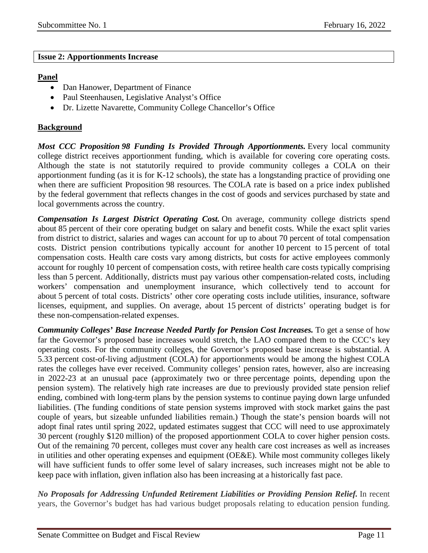#### <span id="page-10-0"></span>**Issue 2: Apportionments Increase**

#### **Panel**

- Dan Hanower, Department of Finance
- Paul Steenhausen, Legislative Analyst's Office
- Dr. Lizette Navarette, Community College Chancellor's Office

#### **Background**

*Most CCC Proposition 98 Funding Is Provided Through Apportionments.* Every local community college district receives apportionment funding, which is available for covering core operating costs. Although the state is not statutorily required to provide community colleges a COLA on their apportionment funding (as it is for K-12 schools), the state has a longstanding practice of providing one when there are sufficient Proposition 98 resources. The COLA rate is based on a price index published by the federal government that reflects changes in the cost of goods and services purchased by state and local governments across the country.

*Compensation Is Largest District Operating Cost.* On average, community college districts spend about 85 percent of their core operating budget on salary and benefit costs. While the exact split varies from district to district, salaries and wages can account for up to about 70 percent of total compensation costs. District pension contributions typically account for another 10 percent to 15 percent of total compensation costs. Health care costs vary among districts, but costs for active employees commonly account for roughly 10 percent of compensation costs, with retiree health care costs typically comprising less than 5 percent. Additionally, districts must pay various other compensation-related costs, including workers' compensation and unemployment insurance, which collectively tend to account for about 5 percent of total costs. Districts' other core operating costs include utilities, insurance, software licenses, equipment, and supplies. On average, about 15 percent of districts' operating budget is for these non-compensation-related expenses.

*Community Colleges' Base Increase Needed Partly for Pension Cost Increases.* To get a sense of how far the Governor's proposed base increases would stretch, the LAO compared them to the CCC's key operating costs. For the community colleges, the Governor's proposed base increase is substantial. A 5.33 percent cost-of-living adjustment (COLA) for apportionments would be among the highest COLA rates the colleges have ever received. Community colleges' pension rates, however, also are increasing in 2022-23 at an unusual pace (approximately two or three percentage points, depending upon the pension system). The relatively high rate increases are due to previously provided state pension relief ending, combined with long-term plans by the pension systems to continue paying down large unfunded liabilities. (The funding conditions of state pension systems improved with stock market gains the past couple of years, but sizeable unfunded liabilities remain.) Though the state's pension boards will not adopt final rates until spring 2022, updated estimates suggest that CCC will need to use approximately 30 percent (roughly \$120 million) of the proposed apportionment COLA to cover higher pension costs. Out of the remaining 70 percent, colleges must cover any health care cost increases as well as increases in utilities and other operating expenses and equipment (OE&E). While most community colleges likely will have sufficient funds to offer some level of salary increases, such increases might not be able to keep pace with inflation, given inflation also has been increasing at a historically fast pace.

*No Proposals for Addressing Unfunded Retirement Liabilities or Providing Pension Relief.* In recent years, the Governor's budget has had various budget proposals relating to education pension funding.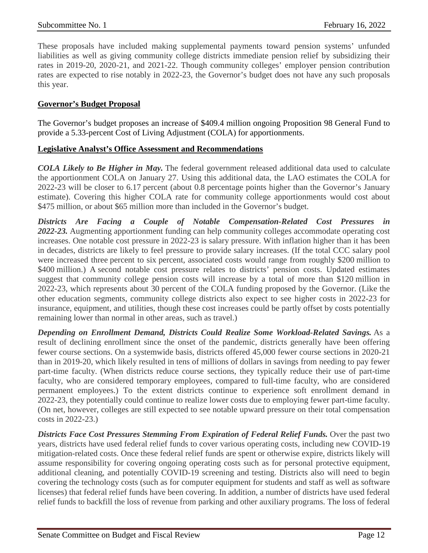These proposals have included making supplemental payments toward pension systems' unfunded liabilities as well as giving community college districts immediate pension relief by subsidizing their rates in 2019-20, 2020-21, and 2021-22. Though community colleges' employer pension contribution rates are expected to rise notably in 2022-23, the Governor's budget does not have any such proposals this year.

#### **Governor's Budget Proposal**

The Governor's budget proposes an increase of \$409.4 million ongoing Proposition 98 General Fund to provide a 5.33-percent Cost of Living Adjustment (COLA) for apportionments.

#### **Legislative Analyst's Office Assessment and Recommendations**

*COLA Likely to Be Higher in May.* The federal government released additional data used to calculate the apportionment COLA on January 27. Using this additional data, the LAO estimates the COLA for 2022-23 will be closer to 6.17 percent (about 0.8 percentage points higher than the Governor's January estimate). Covering this higher COLA rate for community college apportionments would cost about \$475 million, or about \$65 million more than included in the Governor's budget.

*Districts Are Facing a Couple of Notable Compensation-Related Cost Pressures in 2022-23.* Augmenting apportionment funding can help community colleges accommodate operating cost increases. One notable cost pressure in 2022-23 is salary pressure. With inflation higher than it has been in decades, districts are likely to feel pressure to provide salary increases. (If the total CCC salary pool were increased three percent to six percent, associated costs would range from roughly \$200 million to \$400 million.) A second notable cost pressure relates to districts' pension costs. Updated estimates suggest that community college pension costs will increase by a total of more than \$120 million in 2022-23, which represents about 30 percent of the COLA funding proposed by the Governor. (Like the other education segments, community college districts also expect to see higher costs in 2022-23 for insurance, equipment, and utilities, though these cost increases could be partly offset by costs potentially remaining lower than normal in other areas, such as travel.)

*Depending on Enrollment Demand, Districts Could Realize Some Workload-Related Savings.* As a result of declining enrollment since the onset of the pandemic, districts generally have been offering fewer course sections. On a systemwide basis, districts offered 45,000 fewer course sections in 2020-21 than in 2019-20, which likely resulted in tens of millions of dollars in savings from needing to pay fewer part-time faculty. (When districts reduce course sections, they typically reduce their use of part-time faculty, who are considered temporary employees, compared to full-time faculty, who are considered permanent employees.) To the extent districts continue to experience soft enrollment demand in 2022-23, they potentially could continue to realize lower costs due to employing fewer part-time faculty. (On net, however, colleges are still expected to see notable upward pressure on their total compensation costs in 2022-23.)

*Districts Face Cost Pressures Stemming From Expiration of Federal Relief Funds.* Over the past two years, districts have used federal relief funds to cover various operating costs, including new COVID-19 mitigation-related costs. Once these federal relief funds are spent or otherwise expire, districts likely will assume responsibility for covering ongoing operating costs such as for personal protective equipment, additional cleaning, and potentially COVID-19 screening and testing. Districts also will need to begin covering the technology costs (such as for computer equipment for students and staff as well as software licenses) that federal relief funds have been covering. In addition, a number of districts have used federal relief funds to backfill the loss of revenue from parking and other auxiliary programs. The loss of federal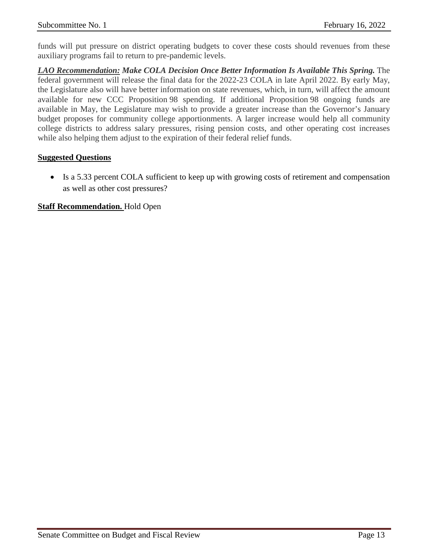funds will put pressure on district operating budgets to cover these costs should revenues from these auxiliary programs fail to return to pre-pandemic levels.

*LAO Recommendation: Make COLA Decision Once Better Information Is Available This Spring.* The federal government will release the final data for the 2022-23 COLA in late April 2022. By early May, the Legislature also will have better information on state revenues, which, in turn, will affect the amount available for new CCC Proposition 98 spending. If additional Proposition 98 ongoing funds are available in May, the Legislature may wish to provide a greater increase than the Governor's January budget proposes for community college apportionments. A larger increase would help all community college districts to address salary pressures, rising pension costs, and other operating cost increases while also helping them adjust to the expiration of their federal relief funds.

#### **Suggested Questions**

• Is a 5.33 percent COLA sufficient to keep up with growing costs of retirement and compensation as well as other cost pressures?

#### **Staff Recommendation.** Hold Open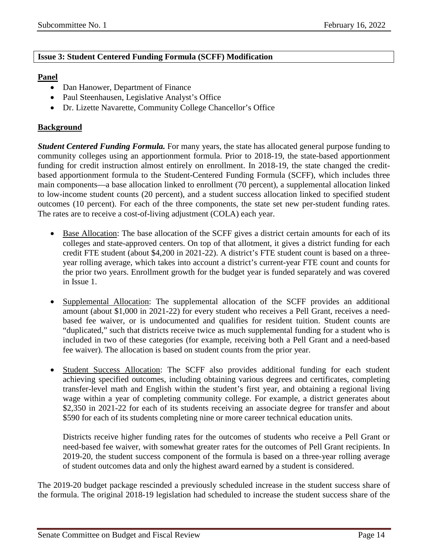#### <span id="page-13-0"></span>**Issue 3: Student Centered Funding Formula (SCFF) Modification**

#### **Panel**

- Dan Hanower, Department of Finance
- Paul Steenhausen, Legislative Analyst's Office
- Dr. Lizette Navarette, Community College Chancellor's Office

#### **Background**

*Student Centered Funding Formula.* For many years, the state has allocated general purpose funding to community colleges using an apportionment formula. Prior to 2018-19, the state-based apportionment funding for credit instruction almost entirely on enrollment. In 2018-19, the state changed the creditbased apportionment formula to the Student-Centered Funding Formula (SCFF), which includes three main components—a base allocation linked to enrollment (70 percent), a supplemental allocation linked to low-income student counts (20 percent), and a student success allocation linked to specified student outcomes (10 percent). For each of the three components, the state set new per-student funding rates. The rates are to receive a cost-of-living adjustment (COLA) each year.

- **Base Allocation:** The base allocation of the SCFF gives a district certain amounts for each of its colleges and state-approved centers. On top of that allotment, it gives a district funding for each credit FTE student (about \$4,200 in 2021-22). A district's FTE student count is based on a threeyear rolling average, which takes into account a district's current-year FTE count and counts for the prior two years. Enrollment growth for the budget year is funded separately and was covered in Issue 1.
- Supplemental Allocation: The supplemental allocation of the SCFF provides an additional amount (about \$1,000 in 2021-22) for every student who receives a Pell Grant, receives a needbased fee waiver, or is undocumented and qualifies for resident tuition. Student counts are "duplicated," such that districts receive twice as much supplemental funding for a student who is included in two of these categories (for example, receiving both a Pell Grant and a need-based fee waiver). The allocation is based on student counts from the prior year.
- Student Success Allocation: The SCFF also provides additional funding for each student achieving specified outcomes, including obtaining various degrees and certificates, completing transfer-level math and English within the student's first year, and obtaining a regional living wage within a year of completing community college. For example, a district generates about \$2,350 in 2021-22 for each of its students receiving an associate degree for transfer and about \$590 for each of its students completing nine or more career technical education units.

Districts receive higher funding rates for the outcomes of students who receive a Pell Grant or need-based fee waiver, with somewhat greater rates for the outcomes of Pell Grant recipients. In 2019-20, the student success component of the formula is based on a three-year rolling average of student outcomes data and only the highest award earned by a student is considered.

The 2019-20 budget package rescinded a previously scheduled increase in the student success share of the formula. The original 2018-19 legislation had scheduled to increase the student success share of the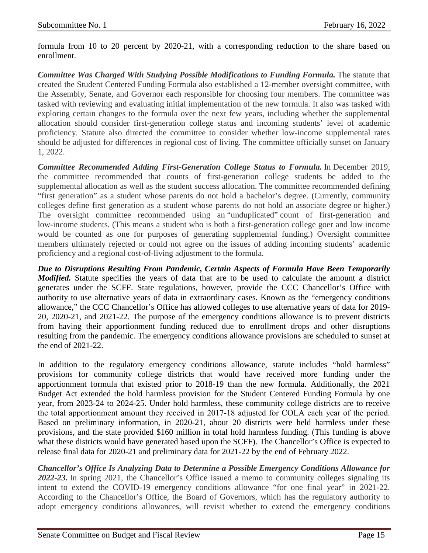formula from 10 to 20 percent by 2020-21, with a corresponding reduction to the share based on enrollment.

*Committee Was Charged With Studying Possible Modifications to Funding Formula.* The statute that created the Student Centered Funding Formula also established a 12-member oversight committee, with the Assembly, Senate, and Governor each responsible for choosing four members. The committee was tasked with reviewing and evaluating initial implementation of the new formula. It also was tasked with exploring certain changes to the formula over the next few years, including whether the supplemental allocation should consider first-generation college status and incoming students' level of academic proficiency. Statute also directed the committee to consider whether low-income supplemental rates should be adjusted for differences in regional cost of living. The committee officially sunset on January 1, 2022.

*Committee Recommended Adding First-Generation College Status to Formula.* In December 2019, the committee recommended that counts of first-generation college students be added to the supplemental allocation as well as the student success allocation. The committee recommended defining "first generation" as a student whose parents do not hold a bachelor's degree. (Currently, community colleges define first generation as a student whose parents do not hold an associate degree or higher.) The oversight committee recommended using an "unduplicated" count of first-generation and low-income students. (This means a student who is both a first-generation college goer and low income would be counted as one for purposes of generating supplemental funding.) Oversight committee members ultimately rejected or could not agree on the issues of adding incoming students' academic proficiency and a regional cost-of-living adjustment to the formula.

*Due to Disruptions Resulting From Pandemic, Certain Aspects of Formula Have Been Temporarily Modified.* Statute specifies the years of data that are to be used to calculate the amount a district generates under the SCFF. State regulations, however, provide the CCC Chancellor's Office with authority to use alternative years of data in extraordinary cases. Known as the "emergency conditions allowance," the CCC Chancellor's Office has allowed colleges to use alternative years of data for 2019- 20, 2020-21, and 2021-22. The purpose of the emergency conditions allowance is to prevent districts from having their apportionment funding reduced due to enrollment drops and other disruptions resulting from the pandemic. The emergency conditions allowance provisions are scheduled to sunset at the end of 2021-22.

In addition to the regulatory emergency conditions allowance, statute includes "hold harmless" provisions for community college districts that would have received more funding under the apportionment formula that existed prior to 2018-19 than the new formula. Additionally, the 2021 Budget Act extended the hold harmless provision for the Student Centered Funding Formula by one year, from 2023-24 to 2024-25. Under hold harmless, these community college districts are to receive the total apportionment amount they received in 2017‑18 adjusted for COLA each year of the period. Based on preliminary information, in 2020-21, about 20 districts were held harmless under these provisions, and the state provided \$160 million in total hold harmless funding. (This funding is above what these districts would have generated based upon the SCFF). The Chancellor's Office is expected to release final data for 2020-21 and preliminary data for 2021-22 by the end of February 2022.

*Chancellor's Office Is Analyzing Data to Determine a Possible Emergency Conditions Allowance for 2022-23.* In spring 2021, the Chancellor's Office issued a memo to community colleges signaling its intent to extend the COVID-19 emergency conditions allowance "for one final year" in 2021-22. According to the Chancellor's Office, the Board of Governors, which has the regulatory authority to adopt emergency conditions allowances, will revisit whether to extend the emergency conditions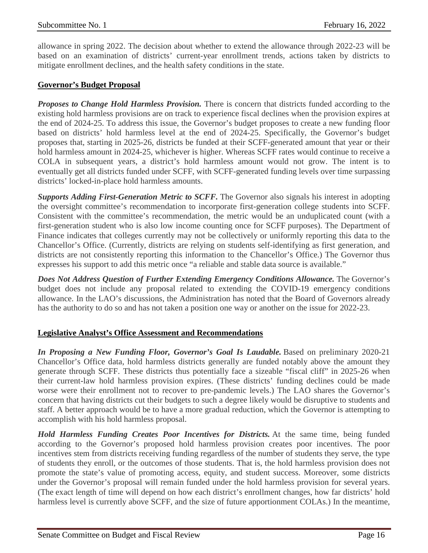allowance in spring 2022. The decision about whether to extend the allowance through 2022-23 will be based on an examination of districts' current-year enrollment trends, actions taken by districts to mitigate enrollment declines, and the health safety conditions in the state.

#### **Governor's Budget Proposal**

*Proposes to Change Hold Harmless Provision.* There is concern that districts funded according to the existing hold harmless provisions are on track to experience fiscal declines when the provision expires at the end of 2024-25. To address this issue, the Governor's budget proposes to create a new funding floor based on districts' hold harmless level at the end of 2024-25. Specifically, the Governor's budget proposes that, starting in 2025-26, districts be funded at their SCFF-generated amount that year or their hold harmless amount in 2024-25, whichever is higher. Whereas SCFF rates would continue to receive a COLA in subsequent years, a district's hold harmless amount would not grow. The intent is to eventually get all districts funded under SCFF, with SCFF-generated funding levels over time surpassing districts' locked-in-place hold harmless amounts.

*Supports Adding First-Generation Metric to SCFF.* The Governor also signals his interest in adopting the oversight committee's recommendation to incorporate first-generation college students into SCFF. Consistent with the committee's recommendation, the metric would be an unduplicated count (with a first-generation student who is also low income counting once for SCFF purposes). The Department of Finance indicates that colleges currently may not be collectively or uniformly reporting this data to the Chancellor's Office. (Currently, districts are relying on students self-identifying as first generation, and districts are not consistently reporting this information to the Chancellor's Office.) The Governor thus expresses his support to add this metric once "a reliable and stable data source is available."

*Does Not Address Question of Further Extending Emergency Conditions Allowance.* The Governor's budget does not include any proposal related to extending the COVID-19 emergency conditions allowance. In the LAO's discussions, the Administration has noted that the Board of Governors already has the authority to do so and has not taken a position one way or another on the issue for 2022-23.

#### **Legislative Analyst's Office Assessment and Recommendations**

*In Proposing a New Funding Floor, Governor's Goal Is Laudable.* Based on preliminary 2020-21 Chancellor's Office data, hold harmless districts generally are funded notably above the amount they generate through SCFF. These districts thus potentially face a sizeable "fiscal cliff" in 2025-26 when their current-law hold harmless provision expires. (These districts' funding declines could be made worse were their enrollment not to recover to pre-pandemic levels.) The LAO shares the Governor's concern that having districts cut their budgets to such a degree likely would be disruptive to students and staff. A better approach would be to have a more gradual reduction, which the Governor is attempting to accomplish with his hold harmless proposal.

*Hold Harmless Funding Creates Poor Incentives for Districts.* At the same time, being funded according to the Governor's proposed hold harmless provision creates poor incentives. The poor incentives stem from districts receiving funding regardless of the number of students they serve, the type of students they enroll, or the outcomes of those students. That is, the hold harmless provision does not promote the state's value of promoting access, equity, and student success. Moreover, some districts under the Governor's proposal will remain funded under the hold harmless provision for several years. (The exact length of time will depend on how each district's enrollment changes, how far districts' hold harmless level is currently above SCFF, and the size of future apportionment COLAs.) In the meantime,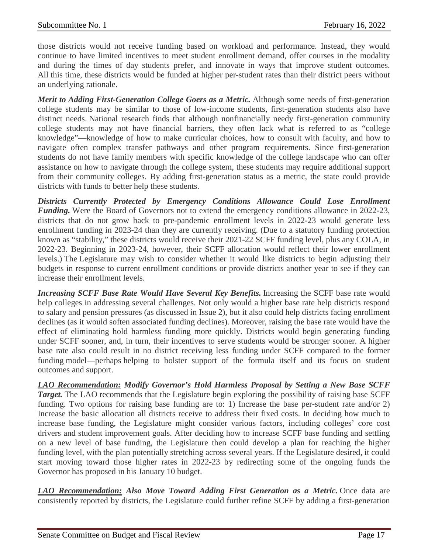those districts would not receive funding based on workload and performance. Instead, they would continue to have limited incentives to meet student enrollment demand, offer courses in the modality and during the times of day students prefer, and innovate in ways that improve student outcomes. All this time, these districts would be funded at higher per-student rates than their district peers without an underlying rationale.

*Merit to Adding First-Generation College Goers as a Metric.* Although some needs of first-generation college students may be similar to those of low-income students, first-generation students also have distinct needs. National research finds that although nonfinancially needy first-generation community college students may not have financial barriers, they often lack what is referred to as "college knowledge"—knowledge of how to make curricular choices, how to consult with faculty, and how to navigate often complex transfer pathways and other program requirements. Since first-generation students do not have family members with specific knowledge of the college landscape who can offer assistance on how to navigate through the college system, these students may require additional support from their community colleges. By adding first-generation status as a metric, the state could provide districts with funds to better help these students.

*Districts Currently Protected by Emergency Conditions Allowance Could Lose Enrollment Funding*. Were the Board of Governors not to extend the emergency conditions allowance in 2022-23, districts that do not grow back to pre-pandemic enrollment levels in 2022-23 would generate less enrollment funding in 2023-24 than they are currently receiving. (Due to a statutory funding protection known as "stability," these districts would receive their 2021-22 SCFF funding level, plus any COLA, in 2022-23. Beginning in 2023-24, however, their SCFF allocation would reflect their lower enrollment levels.) The Legislature may wish to consider whether it would like districts to begin adjusting their budgets in response to current enrollment conditions or provide districts another year to see if they can increase their enrollment levels.

*Increasing SCFF Base Rate Would Have Several Key Benefits.* Increasing the SCFF base rate would help colleges in addressing several challenges. Not only would a higher base rate help districts respond to salary and pension pressures (as discussed in Issue 2), but it also could help districts facing enrollment declines (as it would soften associated funding declines). Moreover, raising the base rate would have the effect of eliminating hold harmless funding more quickly. Districts would begin generating funding under SCFF sooner, and, in turn, their incentives to serve students would be stronger sooner. A higher base rate also could result in no district receiving less funding under SCFF compared to the former funding model—perhaps helping to bolster support of the formula itself and its focus on student outcomes and support.

*LAO Recommendation: Modify Governor's Hold Harmless Proposal by Setting a New Base SCFF Target.* The LAO recommends that the Legislature begin exploring the possibility of raising base SCFF funding. Two options for raising base funding are to: 1) Increase the base per-student rate and/or 2) Increase the basic allocation all districts receive to address their fixed costs. In deciding how much to increase base funding, the Legislature might consider various factors, including colleges' core cost drivers and student improvement goals. After deciding how to increase SCFF base funding and settling on a new level of base funding, the Legislature then could develop a plan for reaching the higher funding level, with the plan potentially stretching across several years. If the Legislature desired, it could start moving toward those higher rates in 2022-23 by redirecting some of the ongoing funds the Governor has proposed in his January 10 budget.

*LAO Recommendation: Also Move Toward Adding First Generation as a Metric.* Once data are consistently reported by districts, the Legislature could further refine SCFF by adding a first-generation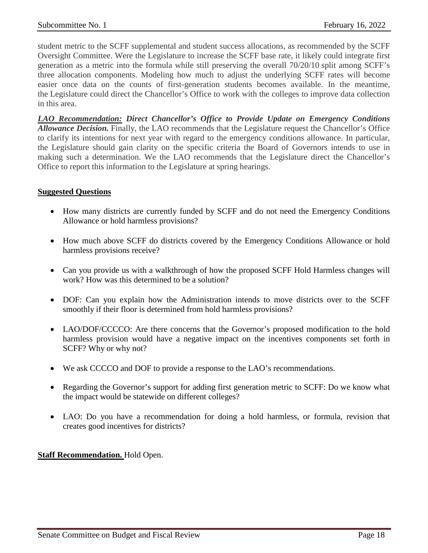student metric to the SCFF supplemental and student success allocations, as recommended by the SCFF Oversight Committee. Were the Legislature to increase the SCFF base rate, it likely could integrate first generation as a metric into the formula while still preserving the overall 70/20/10 split among SCFF's three allocation components. Modeling how much to adjust the underlying SCFF rates will become easier once data on the counts of first-generation students becomes available. In the meantime, the Legislature could direct the Chancellor's Office to work with the colleges to improve data collection in this area.

*LAO Recommendation: Direct Chancellor's Office to Provide Update on Emergency Conditions Allowance Decision.* Finally, the LAO recommends that the Legislature request the Chancellor's Office to clarify its intentions for next year with regard to the emergency conditions allowance. In particular, the Legislature should gain clarity on the specific criteria the Board of Governors intends to use in making such a determination. We the LAO recommends that the Legislature direct the Chancellor's Office to report this information to the Legislature at spring hearings.

#### **Suggested Questions**

- How many districts are currently funded by SCFF and do not need the Emergency Conditions Allowance or hold harmless provisions?
- How much above SCFF do districts covered by the Emergency Conditions Allowance or hold harmless provisions receive?
- Can you provide us with a walkthrough of how the proposed SCFF Hold Harmless changes will work? How was this determined to be a solution?
- DOF: Can you explain how the Administration intends to move districts over to the SCFF smoothly if their floor is determined from hold harmless provisions?
- LAO/DOF/CCCCO: Are there concerns that the Governor's proposed modification to the hold harmless provision would have a negative impact on the incentives components set forth in SCFF? Why or why not?
- We ask CCCCO and DOF to provide a response to the LAO's recommendations.
- Regarding the Governor's support for adding first generation metric to SCFF: Do we know what the impact would be statewide on different colleges?
- LAO: Do you have a recommendation for doing a hold harmless, or formula, revision that creates good incentives for districts?

#### **Staff Recommendation.** Hold Open.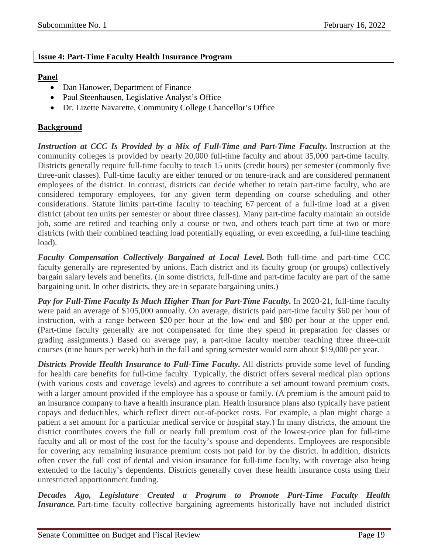#### <span id="page-18-0"></span>**Issue 4: Part-Time Faculty Health Insurance Program**

#### **Panel**

- Dan Hanower, Department of Finance
- Paul Steenhausen, Legislative Analyst's Office
- Dr. Lizette Navarette, Community College Chancellor's Office

#### **Background**

*Instruction at CCC Is Provided by a Mix of Full-Time and Part-Time Faculty.* Instruction at the community colleges is provided by nearly 20,000 full-time faculty and about 35,000 part-time faculty. Districts generally require full-time faculty to teach 15 units (credit hours) per semester (commonly five three-unit classes). Full-time faculty are either tenured or on tenure-track and are considered permanent employees of the district. In contrast, districts can decide whether to retain part-time faculty, who are considered temporary employees, for any given term depending on course scheduling and other considerations. Statute limits part-time faculty to teaching 67 percent of a full-time load at a given district (about ten units per semester or about three classes). Many part-time faculty maintain an outside job, some are retired and teaching only a course or two, and others teach part time at two or more districts (with their combined teaching load potentially equaling, or even exceeding, a full-time teaching load).

*Faculty Compensation Collectively Bargained at Local Level.* Both full-time and part-time CCC faculty generally are represented by unions. Each district and its faculty group (or groups) collectively bargain salary levels and benefits. (In some districts, full-time and part-time faculty are part of the same bargaining unit. In other districts, they are in separate bargaining units.)

*Pay for Full-Time Faculty Is Much Higher Than for Part-Time Faculty.* In 2020-21, full-time faculty were paid an average of \$105,000 annually. On average, districts paid part-time faculty \$60 per hour of instruction, with a range between \$20 per hour at the low end and \$80 per hour at the upper end. (Part-time faculty generally are not compensated for time they spend in preparation for classes or grading assignments.) Based on average pay, a part-time faculty member teaching three three-unit courses (nine hours per week) both in the fall and spring semester would earn about \$19,000 per year.

*Districts Provide Health Insurance to Full-Time Faculty.* All districts provide some level of funding for health care benefits for full-time faculty. Typically, the district offers several medical plan options (with various costs and coverage levels) and agrees to contribute a set amount toward premium costs, with a larger amount provided if the employee has a spouse or family. (A premium is the amount paid to an insurance company to have a health insurance plan. Health insurance plans also typically have patient copays and deductibles, which reflect direct out-of-pocket costs. For example, a plan might charge a patient a set amount for a particular medical service or hospital stay.) In many districts, the amount the district contributes covers the full or nearly full premium cost of the lowest-price plan for full-time faculty and all or most of the cost for the faculty's spouse and dependents. Employees are responsible for covering any remaining insurance premium costs not paid for by the district. In addition, districts often cover the full cost of dental and vision insurance for full-time faculty, with coverage also being extended to the faculty's dependents. Districts generally cover these health insurance costs using their unrestricted apportionment funding.

*Decades Ago, Legislature Created a Program to Promote Part-Time Faculty Health Insurance*. Part-time faculty collective bargaining agreements historically have not included district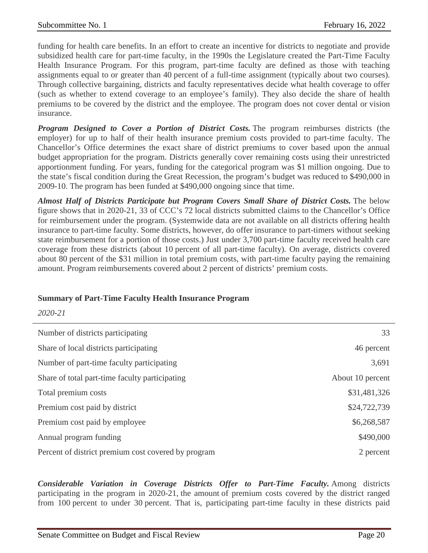funding for health care benefits. In an effort to create an incentive for districts to negotiate and provide subsidized health care for part-time faculty, in the 1990s the Legislature created the Part-Time Faculty Health Insurance Program. For this program, part-time faculty are defined as those with teaching assignments equal to or greater than 40 percent of a full-time assignment (typically about two courses). Through collective bargaining, districts and faculty representatives decide what health coverage to offer (such as whether to extend coverage to an employee's family). They also decide the share of health premiums to be covered by the district and the employee. The program does not cover dental or vision insurance.

*Program Designed to Cover a Portion of District Costs.* The program reimburses districts (the employer) for up to half of their health insurance premium costs provided to part-time faculty. The Chancellor's Office determines the exact share of district premiums to cover based upon the annual budget appropriation for the program. Districts generally cover remaining costs using their unrestricted apportionment funding. For years, funding for the categorical program was \$1 million ongoing. Due to the state's fiscal condition during the Great Recession, the program's budget was reduced to \$490,000 in 2009-10. The program has been funded at \$490,000 ongoing since that time.

*Almost Half of Districts Participate but Program Covers Small Share of District Costs.* The below figure shows that in 2020-21, 33 of CCC's 72 local districts submitted claims to the Chancellor's Office for reimbursement under the program. (Systemwide data are not available on all districts offering health insurance to part-time faculty. Some districts, however, do offer insurance to part-timers without seeking state reimbursement for a portion of those costs.) Just under 3,700 part-time faculty received health care coverage from these districts (about 10 percent of all part-time faculty). On average, districts covered about 80 percent of the \$31 million in total premium costs, with part-time faculty paying the remaining amount. Program reimbursements covered about 2 percent of districts' premium costs.

#### **Summary of Part-Time Faculty Health Insurance Program**

*2020-21*

| Number of districts participating                   | 33               |
|-----------------------------------------------------|------------------|
| Share of local districts participating              | 46 percent       |
| Number of part-time faculty participating           | 3,691            |
| Share of total part-time faculty participating      | About 10 percent |
| Total premium costs                                 | \$31,481,326     |
| Premium cost paid by district                       | \$24,722,739     |
| Premium cost paid by employee                       | \$6,268,587      |
| Annual program funding                              | \$490,000        |
| Percent of district premium cost covered by program | 2 percent        |

*Considerable Variation in Coverage Districts Offer to Part-Time Faculty.* Among districts participating in the program in 2020-21, the amount of premium costs covered by the district ranged from 100 percent to under 30 percent. That is, participating part-time faculty in these districts paid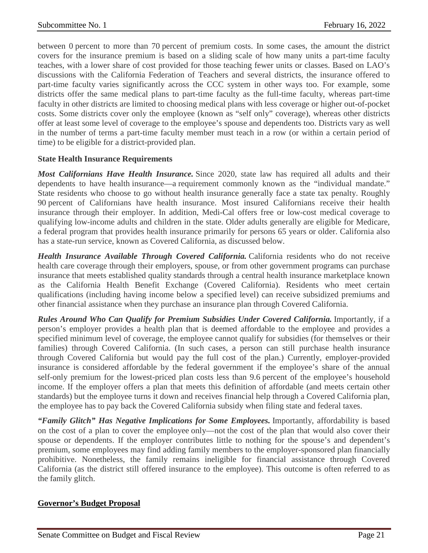between 0 percent to more than 70 percent of premium costs. In some cases, the amount the district covers for the insurance premium is based on a sliding scale of how many units a part-time faculty teaches, with a lower share of cost provided for those teaching fewer units or classes. Based on LAO's discussions with the California Federation of Teachers and several districts, the insurance offered to part-time faculty varies significantly across the CCC system in other ways too. For example, some districts offer the same medical plans to part-time faculty as the full-time faculty, whereas part-time faculty in other districts are limited to choosing medical plans with less coverage or higher out-of-pocket costs. Some districts cover only the employee (known as "self only" coverage), whereas other districts offer at least some level of coverage to the employee's spouse and dependents too. Districts vary as well in the number of terms a part-time faculty member must teach in a row (or within a certain period of time) to be eligible for a district-provided plan.

#### **State Health Insurance Requirements**

*Most Californians Have Health Insurance.* Since 2020, state law has required all adults and their dependents to have health insurance—a requirement commonly known as the "individual mandate." State residents who choose to go without health insurance generally face a state tax penalty. Roughly 90 percent of Californians have health insurance. Most insured Californians receive their health insurance through their employer. In addition, Medi-Cal offers free or low-cost medical coverage to qualifying low-income adults and children in the state. Older adults generally are eligible for Medicare, a federal program that provides health insurance primarily for persons 65 years or older. California also has a state-run service, known as Covered California, as discussed below.

*Health Insurance Available Through Covered California.* California residents who do not receive health care coverage through their employers, spouse, or from other government programs can purchase insurance that meets established quality standards through a central health insurance marketplace known as the California Health Benefit Exchange (Covered California). Residents who meet certain qualifications (including having income below a specified level) can receive subsidized premiums and other financial assistance when they purchase an insurance plan through Covered California.

*Rules Around Who Can Qualify for Premium Subsidies Under Covered California.* Importantly, if a person's employer provides a health plan that is deemed affordable to the employee and provides a specified minimum level of coverage, the employee cannot qualify for subsidies (for themselves or their families) through Covered California. (In such cases, a person can still purchase health insurance through Covered California but would pay the full cost of the plan.) Currently, employer-provided insurance is considered affordable by the federal government if the employee's share of the annual self-only premium for the lowest-priced plan costs less than 9.6 percent of the employee's household income. If the employer offers a plan that meets this definition of affordable (and meets certain other standards) but the employee turns it down and receives financial help through a Covered California plan, the employee has to pay back the Covered California subsidy when filing state and federal taxes.

*"Family Glitch" Has Negative Implications for Some Employees.* Importantly, affordability is based on the cost of a plan to cover the employee only—not the cost of the plan that would also cover their spouse or dependents. If the employer contributes little to nothing for the spouse's and dependent's premium, some employees may find adding family members to the employer-sponsored plan financially prohibitive. Nonetheless, the family remains ineligible for financial assistance through Covered California (as the district still offered insurance to the employee). This outcome is often referred to as the family glitch.

#### **Governor's Budget Proposal**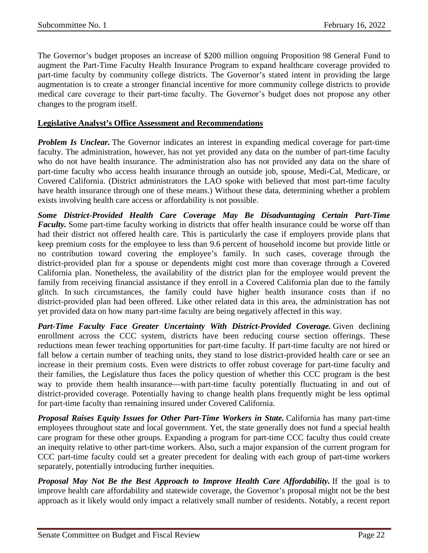The Governor's budget proposes an increase of \$200 million ongoing Proposition 98 General Fund to augment the Part-Time Faculty Health Insurance Program to expand healthcare coverage provided to part-time faculty by community college districts. The Governor's stated intent in providing the large augmentation is to create a stronger financial incentive for more community college districts to provide medical care coverage to their part-time faculty. The Governor's budget does not propose any other changes to the program itself.

#### **Legislative Analyst's Office Assessment and Recommendations**

*Problem Is Unclear.* The Governor indicates an interest in expanding medical coverage for part-time faculty. The administration, however, has not yet provided any data on the number of part-time faculty who do not have health insurance. The administration also has not provided any data on the share of part-time faculty who access health insurance through an outside job, spouse, Medi-Cal, Medicare, or Covered California. (District administrators the LAO spoke with believed that most part-time faculty have health insurance through one of these means.) Without these data, determining whether a problem exists involving health care access or affordability is not possible.

*Some District-Provided Health Care Coverage May Be Disadvantaging Certain Part-Time Faculty*. Some part-time faculty working in districts that offer health insurance could be worse off than had their district not offered health care. This is particularly the case if employers provide plans that keep premium costs for the employee to less than 9.6 percent of household income but provide little or no contribution toward covering the employee's family. In such cases, coverage through the district-provided plan for a spouse or dependents might cost more than coverage through a Covered California plan. Nonetheless, the availability of the district plan for the employee would prevent the family from receiving financial assistance if they enroll in a Covered California plan due to the family glitch. In such circumstances, the family could have higher health insurance costs than if no district-provided plan had been offered. Like other related data in this area, the administration has not yet provided data on how many part-time faculty are being negatively affected in this way.

*Part-Time Faculty Face Greater Uncertainty With District-Provided Coverage.* Given declining enrollment across the CCC system, districts have been reducing course section offerings. These reductions mean fewer teaching opportunities for part-time faculty. If part-time faculty are not hired or fall below a certain number of teaching units, they stand to lose district-provided health care or see an increase in their premium costs. Even were districts to offer robust coverage for part-time faculty and their families, the Legislature thus faces the policy question of whether this CCC program is the best way to provide them health insurance—with part-time faculty potentially fluctuating in and out of district-provided coverage. Potentially having to change health plans frequently might be less optimal for part-time faculty than remaining insured under Covered California.

*Proposal Raises Equity Issues for Other Part-Time Workers in State.* California has many part-time employees throughout state and local government. Yet, the state generally does not fund a special health care program for these other groups. Expanding a program for part-time CCC faculty thus could create an inequity relative to other part-time workers. Also, such a major expansion of the current program for CCC part-time faculty could set a greater precedent for dealing with each group of part-time workers separately, potentially introducing further inequities.

*Proposal May Not Be the Best Approach to Improve Health Care Affordability.* If the goal is to improve health care affordability and statewide coverage, the Governor's proposal might not be the best approach as it likely would only impact a relatively small number of residents. Notably, a recent report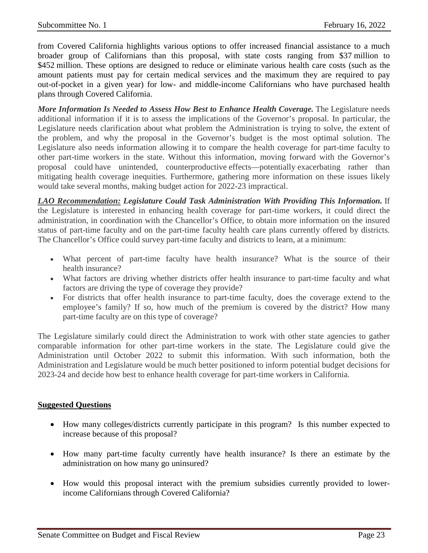from Covered California highlights various options to offer increased financial assistance to a much broader group of Californians than this proposal, with state costs ranging from \$37 million to \$452 million. These options are designed to reduce or eliminate various health care costs (such as the amount patients must pay for certain medical services and the maximum they are required to pay out-of-pocket in a given year) for low- and middle-income Californians who have purchased health plans through Covered California.

*More Information Is Needed to Assess How Best to Enhance Health Coverage.* The Legislature needs additional information if it is to assess the implications of the Governor's proposal. In particular, the Legislature needs clarification about what problem the Administration is trying to solve, the extent of the problem, and why the proposal in the Governor's budget is the most optimal solution. The Legislature also needs information allowing it to compare the health coverage for part-time faculty to other part-time workers in the state. Without this information, moving forward with the Governor's proposal could have unintended, counterproductive effects—potentially exacerbating rather than mitigating health coverage inequities. Furthermore, gathering more information on these issues likely would take several months, making budget action for 2022-23 impractical.

*LAO Recommendation: Legislature Could Task Administration With Providing This Information.* If the Legislature is interested in enhancing health coverage for part-time workers, it could direct the administration, in coordination with the Chancellor's Office, to obtain more information on the insured status of part-time faculty and on the part-time faculty health care plans currently offered by districts. The Chancellor's Office could survey part-time faculty and districts to learn, at a minimum:

- What percent of part-time faculty have health insurance? What is the source of their health insurance?
- What factors are driving whether districts offer health insurance to part-time faculty and what factors are driving the type of coverage they provide?
- For districts that offer health insurance to part-time faculty, does the coverage extend to the employee's family? If so, how much of the premium is covered by the district? How many part-time faculty are on this type of coverage?

The Legislature similarly could direct the Administration to work with other state agencies to gather comparable information for other part-time workers in the state. The Legislature could give the Administration until October 2022 to submit this information. With such information, both the Administration and Legislature would be much better positioned to inform potential budget decisions for 2023-24 and decide how best to enhance health coverage for part-time workers in California.

#### **Suggested Questions**

- How many colleges/districts currently participate in this program? Is this number expected to increase because of this proposal?
- How many part-time faculty currently have health insurance? Is there an estimate by the administration on how many go uninsured?
- How would this proposal interact with the premium subsidies currently provided to lowerincome Californians through Covered California?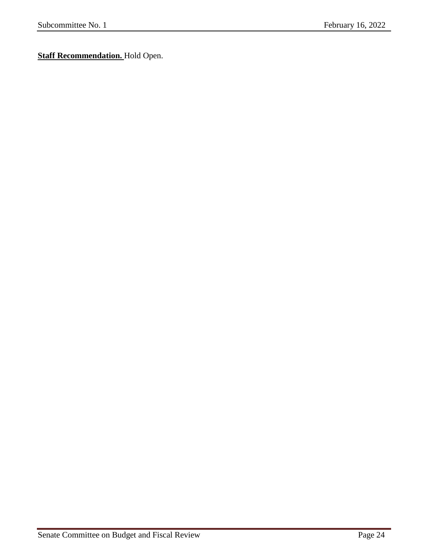**Staff Recommendation.** Hold Open.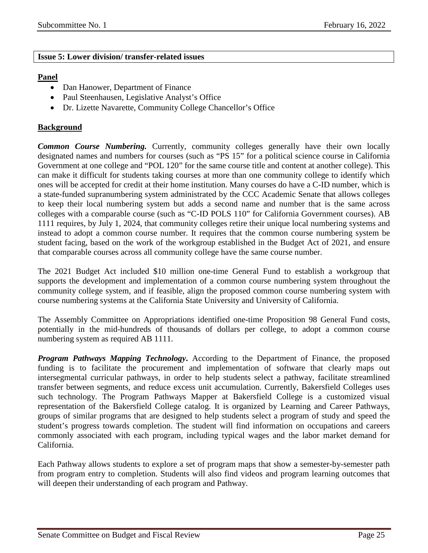#### <span id="page-24-0"></span>**Issue 5: Lower division/ transfer-related issues**

#### **Panel**

- Dan Hanower, Department of Finance
- Paul Steenhausen, Legislative Analyst's Office
- Dr. Lizette Navarette, Community College Chancellor's Office

#### **Background**

*Common Course Numbering.* Currently, community colleges generally have their own locally designated names and numbers for courses (such as "PS 15" for a political science course in California Government at one college and "POL 120" for the same course title and content at another college). This can make it difficult for students taking courses at more than one community college to identify which ones will be accepted for credit at their home institution. Many courses do have a C-ID number, which is a state-funded supranumbering system administrated by the CCC Academic Senate that allows colleges to keep their local numbering system but adds a second name and number that is the same across colleges with a comparable course (such as "C-ID POLS 110" for California Government courses). AB 1111 requires, by July 1, 2024, that community colleges retire their unique local numbering systems and instead to adopt a common course number. It requires that the common course numbering system be student facing, based on the work of the workgroup established in the Budget Act of 2021, and ensure that comparable courses across all community college have the same course number.

The 2021 Budget Act included \$10 million one-time General Fund to establish a workgroup that supports the development and implementation of a common course numbering system throughout the community college system, and if feasible, align the proposed common course numbering system with course numbering systems at the California State University and University of California.

The Assembly Committee on Appropriations identified one-time Proposition 98 General Fund costs, potentially in the mid-hundreds of thousands of dollars per college, to adopt a common course numbering system as required AB 1111.

*Program Pathways Mapping Technology***.** According to the Department of Finance, the proposed funding is to facilitate the procurement and implementation of software that clearly maps out intersegmental curricular pathways, in order to help students select a pathway, facilitate streamlined transfer between segments, and reduce excess unit accumulation. Currently, Bakersfield Colleges uses such technology. The Program Pathways Mapper at Bakersfield College is a customized visual representation of the Bakersfield College catalog. It is organized by Learning and Career Pathways, groups of similar programs that are designed to help students select a program of study and speed the student's progress towards completion. The student will find information on occupations and careers commonly associated with each program, including typical wages and the labor market demand for California.

Each Pathway allows students to explore a set of program maps that show a semester-by-semester path from program entry to completion. Students will also find videos and program learning outcomes that will deepen their understanding of each program and Pathway.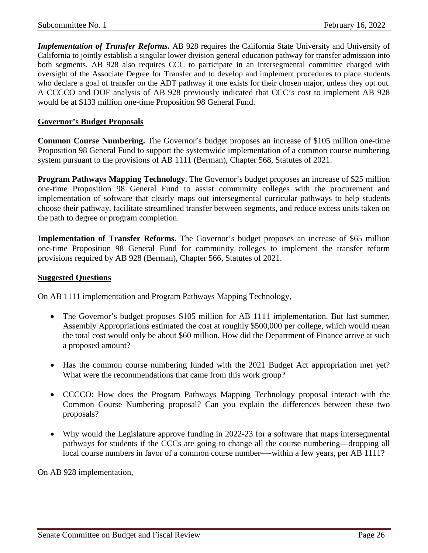*Implementation of Transfer Reforms.* AB 928 requires the California State University and University of California to jointly establish a singular lower division general education pathway for transfer admission into both segments. AB 928 also requires CCC to participate in an intersegmental committee charged with oversight of the Associate Degree for Transfer and to develop and implement procedures to place students who declare a goal of transfer on the ADT pathway if one exists for their chosen major, unless they opt out. A CCCCO and DOF analysis of AB 928 previously indicated that CCC's cost to implement AB 928 would be at \$133 million one-time Proposition 98 General Fund.

#### **Governor's Budget Proposals**

**Common Course Numbering.** The Governor's budget proposes an increase of \$105 million one-time Proposition 98 General Fund to support the systemwide implementation of a common course numbering system pursuant to the provisions of AB 1111 (Berman), Chapter 568, Statutes of 2021.

**Program Pathways Mapping Technology.** The Governor's budget proposes an increase of \$25 million one-time Proposition 98 General Fund to assist community colleges with the procurement and implementation of software that clearly maps out intersegmental curricular pathways to help students choose their pathway, facilitate streamlined transfer between segments, and reduce excess units taken on the path to degree or program completion.

**Implementation of Transfer Reforms.** The Governor's budget proposes an increase of \$65 million one-time Proposition 98 General Fund for community colleges to implement the transfer reform provisions required by AB 928 (Berman), Chapter 566, Statutes of 2021.

#### **Suggested Questions**

On AB 1111 implementation and Program Pathways Mapping Technology,

- The Governor's budget proposes \$105 million for AB 1111 implementation. But last summer, Assembly Appropriations estimated the cost at roughly \$500,000 per college, which would mean the total cost would only be about \$60 million. How did the Department of Finance arrive at such a proposed amount?
- Has the common course numbering funded with the 2021 Budget Act appropriation met yet? What were the recommendations that came from this work group?
- CCCCO: How does the Program Pathways Mapping Technology proposal interact with the Common Course Numbering proposal? Can you explain the differences between these two proposals?
- Why would the Legislature approve funding in 2022-23 for a software that maps intersegmental pathways for students if the CCCs are going to change all the course numbering—dropping all local course numbers in favor of a common course number—-within a few years, per AB 1111?

On AB 928 implementation,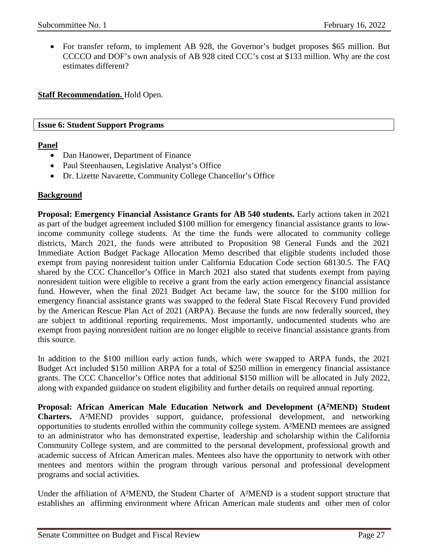• For transfer reform, to implement AB 928, the Governor's budget proposes \$65 million. But CCCCO and DOF's own analysis of AB 928 cited CCC's cost at \$133 million. Why are the cost estimates different?

**Staff Recommendation.** Hold Open.

#### <span id="page-26-0"></span>**Issue 6: Student Support Programs**

#### **Panel**

- Dan Hanower, Department of Finance
- Paul Steenhausen, Legislative Analyst's Office
- Dr. Lizette Navarette, Community College Chancellor's Office

#### **Background**

**Proposal: Emergency Financial Assistance Grants for AB 540 students.** Early actions taken in 2021 as part of the budget agreement included \$100 million for emergency financial assistance grants to lowincome community college students. At the time the funds were allocated to community college districts, March 2021, the funds were attributed to Proposition 98 General Funds and the 2021 Immediate Action Budget Package Allocation Memo described that eligible students included those exempt from paying nonresident tuition under California Education Code section 68130.5. The FAQ shared by the CCC Chancellor's Office in March 2021 also stated that students exempt from paying nonresident tuition were eligible to receive a grant from the early action emergency financial assistance fund. However, when the final 2021 Budget Act became law, the source for the \$100 million for emergency financial assistance grants was swapped to the federal State Fiscal Recovery Fund provided by the American Rescue Plan Act of 2021 (ARPA). Because the funds are now federally sourced, they are subject to additional reporting requirements. Most importantly, undocumented students who are exempt from paying nonresident tuition are no longer eligible to receive financial assistance grants from this source.

In addition to the \$100 million early action funds, which were swapped to ARPA funds, the 2021 Budget Act included \$150 million ARPA for a total of \$250 million in emergency financial assistance grants. The CCC Chancellor's Office notes that additional \$150 million will be allocated in July 2022, along with expanded guidance on student eligibility and further details on required annual reporting.

**Proposal: African American Male Education Network and Development (A2MEND) Student Charters.** A²MEND provides support, guidance, professional development, and networking opportunities to students enrolled within the community college system. A²MEND mentees are assigned to an administrator who has demonstrated expertise, leadership and scholarship within the California Community College system, and are committed to the personal development, professional growth and academic success of African American males. Mentees also have the opportunity to network with other mentees and mentors within the program through various personal and professional development programs and social activities.

Under the affiliation of A²MEND, the Student Charter of A²MEND is a student support structure that establishes an affirming environment where African American male students and other men of color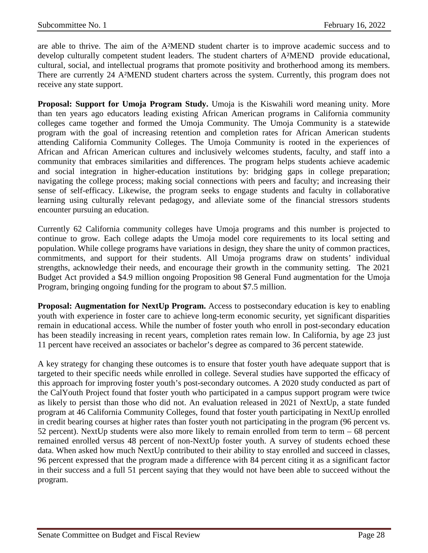are able to thrive. The aim of the A²MEND student charter is to improve academic success and to develop culturally competent student leaders. The student charters of A²MEND provide educational, cultural, social, and intellectual programs that promote positivity and brotherhood among its members. There are currently 24 A²MEND student charters across the system. Currently, this program does not receive any state support.

**Proposal: Support for Umoja Program Study.** Umoja is the Kiswahili word meaning unity. More than ten years ago educators leading existing African American programs in California community colleges came together and formed the Umoja Community. The Umoja Community is a statewide program with the goal of increasing retention and completion rates for African American students attending California Community Colleges. The Umoja Community is rooted in the experiences of African and African American cultures and inclusively welcomes students, faculty, and staff into a community that embraces similarities and differences. The program helps students achieve academic and social integration in higher-education institutions by: bridging gaps in college preparation; navigating the college process; making social connections with peers and faculty; and increasing their sense of self-efficacy. Likewise, the program seeks to engage students and faculty in collaborative learning using culturally relevant pedagogy, and alleviate some of the financial stressors students encounter pursuing an education.

Currently 62 California community colleges have Umoja programs and this number is projected to continue to grow. Each college adapts the Umoja model core requirements to its local setting and population. While college programs have variations in design, they share the unity of common practices, commitments, and support for their students. All Umoja programs draw on students' individual strengths, acknowledge their needs, and encourage their growth in the community setting. The 2021 Budget Act provided a \$4.9 million ongoing Proposition 98 General Fund augmentation for the Umoja Program, bringing ongoing funding for the program to about \$7.5 million.

**Proposal: Augmentation for NextUp Program.** Access to postsecondary education is key to enabling youth with experience in foster care to achieve long-term economic security, yet significant disparities remain in educational access. While the number of foster youth who enroll in post-secondary education has been steadily increasing in recent years, completion rates remain low. In California, by age 23 just 11 percent have received an associates or bachelor's degree as compared to 36 percent statewide.

A key strategy for changing these outcomes is to ensure that foster youth have adequate support that is targeted to their specific needs while enrolled in college. Several studies have supported the efficacy of this approach for improving foster youth's post-secondary outcomes. A 2020 study conducted as part of the CalYouth Project found that foster youth who participated in a campus support program were twice as likely to persist than those who did not. An evaluation released in 2021 of NextUp, a state funded program at 46 California Community Colleges, found that foster youth participating in NextUp enrolled in credit bearing courses at higher rates than foster youth not participating in the program (96 percent vs. 52 percent). NextUp students were also more likely to remain enrolled from term to term – 68 percent remained enrolled versus 48 percent of non-NextUp foster youth. A survey of students echoed these data. When asked how much NextUp contributed to their ability to stay enrolled and succeed in classes, 96 percent expressed that the program made a difference with 84 percent citing it as a significant factor in their success and a full 51 percent saying that they would not have been able to succeed without the program.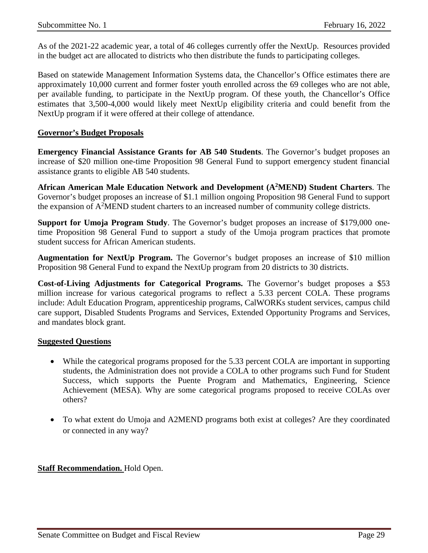As of the 2021-22 academic year, a total of 46 colleges currently offer the NextUp. Resources provided in the budget act are allocated to districts who then distribute the funds to participating colleges.

Based on statewide Management Information Systems data, the Chancellor's Office estimates there are approximately 10,000 current and former foster youth enrolled across the 69 colleges who are not able, per available funding, to participate in the NextUp program. Of these youth, the Chancellor's Office estimates that 3,500-4,000 would likely meet NextUp eligibility criteria and could benefit from the NextUp program if it were offered at their college of attendance.

#### **Governor's Budget Proposals**

**Emergency Financial Assistance Grants for AB 540 Students**. The Governor's budget proposes an increase of \$20 million one-time Proposition 98 General Fund to support emergency student financial assistance grants to eligible AB 540 students.

**African American Male Education Network and Development (A2MEND) Student Charters**. The Governor's budget proposes an increase of \$1.1 million ongoing Proposition 98 General Fund to support the expansion of  $A<sup>2</sup>$ MEND student charters to an increased number of community college districts.

**Support for Umoja Program Study**. The Governor's budget proposes an increase of \$179,000 onetime Proposition 98 General Fund to support a study of the Umoja program practices that promote student success for African American students.

**Augmentation for NextUp Program.** The Governor's budget proposes an increase of \$10 million Proposition 98 General Fund to expand the NextUp program from 20 districts to 30 districts.

**Cost-of-Living Adjustments for Categorical Programs.** The Governor's budget proposes a \$53 million increase for various categorical programs to reflect a 5.33 percent COLA. These programs include: Adult Education Program, apprenticeship programs, CalWORKs student services, campus child care support, Disabled Students Programs and Services, Extended Opportunity Programs and Services, and mandates block grant.

#### **Suggested Questions**

- While the categorical programs proposed for the 5.33 percent COLA are important in supporting students, the Administration does not provide a COLA to other programs such Fund for Student Success, which supports the Puente Program and Mathematics, Engineering, Science Achievement (MESA). Why are some categorical programs proposed to receive COLAs over others?
- To what extent do Umoja and A2MEND programs both exist at colleges? Are they coordinated or connected in any way?

#### **Staff Recommendation.** Hold Open.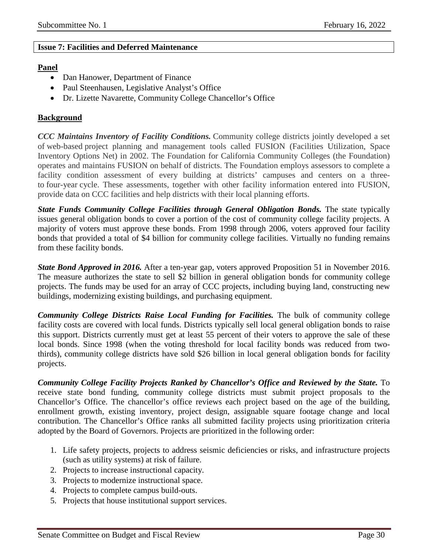#### <span id="page-29-0"></span>**Issue 7: Facilities and Deferred Maintenance**

#### **Panel**

- Dan Hanower, Department of Finance
- Paul Steenhausen, Legislative Analyst's Office
- Dr. Lizette Navarette, Community College Chancellor's Office

#### **Background**

*CCC Maintains Inventory of Facility Conditions.* Community college districts jointly developed a set of web-based project planning and management tools called FUSION (Facilities Utilization, Space Inventory Options Net) in 2002. The Foundation for California Community Colleges (the Foundation) operates and maintains FUSION on behalf of districts. The Foundation employs assessors to complete a facility condition assessment of every building at districts' campuses and centers on a threeto four-year cycle. These assessments, together with other facility information entered into FUSION, provide data on CCC facilities and help districts with their local planning efforts.

*State Funds Community College Facilities through General Obligation Bonds.* The state typically issues general obligation bonds to cover a portion of the cost of community college facility projects. A majority of voters must approve these bonds. From 1998 through 2006, voters approved four facility bonds that provided a total of \$4 billion for community college facilities. Virtually no funding remains from these facility bonds.

*State Bond Approved in 2016.* After a ten-year gap, voters approved Proposition 51 in November 2016. The measure authorizes the state to sell \$2 billion in general obligation bonds for community college projects. The funds may be used for an array of CCC projects, including buying land, constructing new buildings, modernizing existing buildings, and purchasing equipment.

*Community College Districts Raise Local Funding for Facilities.* The bulk of community college facility costs are covered with local funds. Districts typically sell local general obligation bonds to raise this support. Districts currently must get at least 55 percent of their voters to approve the sale of these local bonds. Since 1998 (when the voting threshold for local facility bonds was reduced from twothirds), community college districts have sold \$26 billion in local general obligation bonds for facility projects.

*Community College Facility Projects Ranked by Chancellor's Office and Reviewed by the State.* To receive state bond funding, community college districts must submit project proposals to the Chancellor's Office. The chancellor's office reviews each project based on the age of the building, enrollment growth, existing inventory, project design, assignable square footage change and local contribution. The Chancellor's Office ranks all submitted facility projects using prioritization criteria adopted by the Board of Governors. Projects are prioritized in the following order:

- 1. Life safety projects, projects to address seismic deficiencies or risks, and infrastructure projects (such as utility systems) at risk of failure.
- 2. Projects to increase instructional capacity.
- 3. Projects to modernize instructional space.
- 4. Projects to complete campus build-outs.
- 5. Projects that house institutional support services.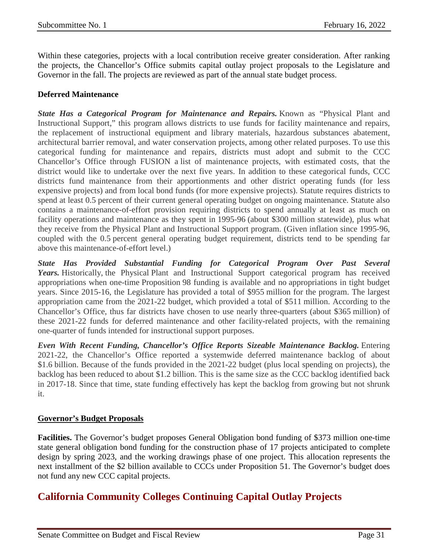Within these categories, projects with a local contribution receive greater consideration. After ranking the projects, the Chancellor's Office submits capital outlay project proposals to the Legislature and Governor in the fall. The projects are reviewed as part of the annual state budget process.

#### **Deferred Maintenance**

*State Has a Categorical Program for Maintenance and Repairs.* Known as "Physical Plant and Instructional Support," this program allows districts to use funds for facility maintenance and repairs, the replacement of instructional equipment and library materials, hazardous substances abatement, architectural barrier removal, and water conservation projects, among other related purposes. To use this categorical funding for maintenance and repairs, districts must adopt and submit to the CCC Chancellor's Office through FUSION a list of maintenance projects, with estimated costs, that the district would like to undertake over the next five years. In addition to these categorical funds, CCC districts fund maintenance from their apportionments and other district operating funds (for less expensive projects) and from local bond funds (for more expensive projects). Statute requires districts to spend at least 0.5 percent of their current general operating budget on ongoing maintenance. Statute also contains a maintenance-of-effort provision requiring districts to spend annually at least as much on facility operations and maintenance as they spent in 1995-96 (about \$300 million statewide), plus what they receive from the Physical Plant and Instructional Support program. (Given inflation since 1995-96, coupled with the 0.5 percent general operating budget requirement, districts tend to be spending far above this maintenance-of-effort level.)

*State Has Provided Substantial Funding for Categorical Program Over Past Several Years.* Historically, the Physical Plant and Instructional Support categorical program has received appropriations when one-time Proposition 98 funding is available and no appropriations in tight budget years. Since 2015-16, the Legislature has provided a total of \$955 million for the program. The largest appropriation came from the 2021-22 budget, which provided a total of \$511 million. According to the Chancellor's Office, thus far districts have chosen to use nearly three-quarters (about \$365 million) of these 2021-22 funds for deferred maintenance and other facility-related projects, with the remaining one-quarter of funds intended for instructional support purposes.

*Even With Recent Funding, Chancellor's Office Reports Sizeable Maintenance Backlog.* Entering 2021-22, the Chancellor's Office reported a systemwide deferred maintenance backlog of about \$1.6 billion. Because of the funds provided in the 2021-22 budget (plus local spending on projects), the backlog has been reduced to about \$1.2 billion. This is the same size as the CCC backlog identified back in 2017-18. Since that time, state funding effectively has kept the backlog from growing but not shrunk it.

#### **Governor's Budget Proposals**

**Facilities.** The Governor's budget proposes General Obligation bond funding of \$373 million one-time state general obligation bond funding for the construction phase of 17 projects anticipated to complete design by spring 2023, and the working drawings phase of one project. This allocation represents the next installment of the \$2 billion available to CCCs under Proposition 51. The Governor's budget does not fund any new CCC capital projects.

# **California Community Colleges Continuing Capital Outlay Projects**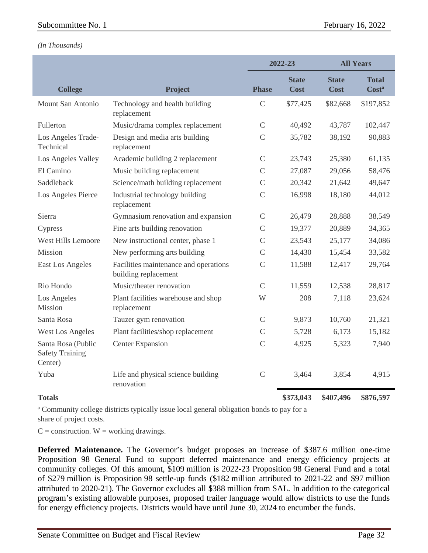#### *(In Thousands)*

|                                                         |                                                               | 2022-23       |                             | <b>All Years</b>            |                       |
|---------------------------------------------------------|---------------------------------------------------------------|---------------|-----------------------------|-----------------------------|-----------------------|
| <b>College</b>                                          | Project                                                       | <b>Phase</b>  | <b>State</b><br><b>Cost</b> | <b>State</b><br><b>Cost</b> | <b>Total</b><br>Costa |
| Mount San Antonio                                       | Technology and health building<br>replacement                 | $\mathsf{C}$  | \$77,425                    | \$82,668                    | \$197,852             |
| Fullerton                                               | Music/drama complex replacement                               | $\mathsf{C}$  | 40,492                      | 43,787                      | 102,447               |
| Los Angeles Trade-<br>Technical                         | Design and media arts building<br>replacement                 | $\mathcal{C}$ | 35,782                      | 38,192                      | 90,883                |
| Los Angeles Valley                                      | Academic building 2 replacement                               | $\mathsf{C}$  | 23,743                      | 25,380                      | 61,135                |
| El Camino                                               | Music building replacement                                    | $\mathcal{C}$ | 27,087                      | 29,056                      | 58,476                |
| Saddleback                                              | Science/math building replacement                             | $\mathcal{C}$ | 20,342                      | 21,642                      | 49,647                |
| Los Angeles Pierce                                      | Industrial technology building<br>replacement                 | $\mathsf{C}$  | 16,998                      | 18,180                      | 44,012                |
| Sierra                                                  | Gymnasium renovation and expansion                            | $\mathsf{C}$  | 26,479                      | 28,888                      | 38,549                |
| Cypress                                                 | Fine arts building renovation                                 | $\mathcal{C}$ | 19,377                      | 20,889                      | 34,365                |
| West Hills Lemoore                                      | New instructional center, phase 1                             | $\mathsf{C}$  | 23,543                      | 25,177                      | 34,086                |
| <b>Mission</b>                                          | New performing arts building                                  | $\mathsf{C}$  | 14,430                      | 15,454                      | 33,582                |
| East Los Angeles                                        | Facilities maintenance and operations<br>building replacement | $\mathsf{C}$  | 11,588                      | 12,417                      | 29,764                |
| Rio Hondo                                               | Music/theater renovation                                      | $\mathsf{C}$  | 11,559                      | 12,538                      | 28,817                |
| Los Angeles<br>Mission                                  | Plant facilities warehouse and shop<br>replacement            | W             | 208                         | 7,118                       | 23,624                |
| Santa Rosa                                              | Tauzer gym renovation                                         | $\mathsf{C}$  | 9,873                       | 10,760                      | 21,321                |
| <b>West Los Angeles</b>                                 | Plant facilities/shop replacement                             | $\mathcal{C}$ | 5,728                       | 6,173                       | 15,182                |
| Santa Rosa (Public<br><b>Safety Training</b><br>Center) | <b>Center Expansion</b>                                       | $\mathsf{C}$  | 4,925                       | 5,323                       | 7,940                 |
| Yuba                                                    | Life and physical science building<br>renovation              | $\mathsf{C}$  | 3,464                       | 3,854                       | 4,915                 |
| <b>Totals</b>                                           |                                                               |               | \$373,043                   | \$407,496                   | \$876,597             |

<sup>a</sup> Community college districts typically issue local general obligation bonds to pay for a share of project costs.

 $C =$  construction.  $W =$  working drawings.

**Deferred Maintenance.** The Governor's budget proposes an increase of \$387.6 million one-time Proposition 98 General Fund to support deferred maintenance and energy efficiency projects at community colleges. Of this amount, \$109 million is 2022-23 Proposition 98 General Fund and a total of \$279 million is Proposition 98 settle-up funds (\$182 million attributed to 2021-22 and \$97 million attributed to 2020-21). The Governor excludes all \$388 million from SAL. In addition to the categorical program's existing allowable purposes, proposed trailer language would allow districts to use the funds for energy efficiency projects. Districts would have until June 30, 2024 to encumber the funds.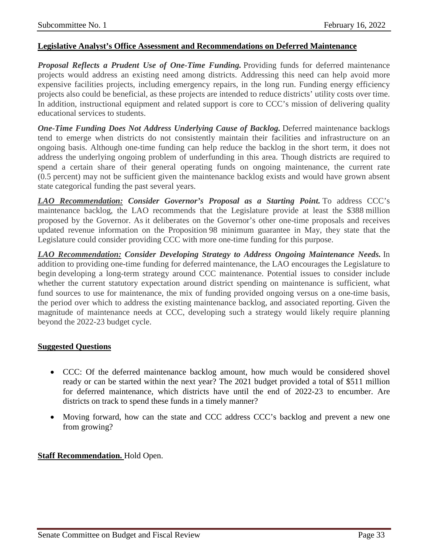#### **Legislative Analyst's Office Assessment and Recommendations on Deferred Maintenance**

*Proposal Reflects a Prudent Use of One-Time Funding.* Providing funds for deferred maintenance projects would address an existing need among districts. Addressing this need can help avoid more expensive facilities projects, including emergency repairs, in the long run. Funding energy efficiency projects also could be beneficial, as these projects are intended to reduce districts' utility costs over time. In addition, instructional equipment and related support is core to CCC's mission of delivering quality educational services to students.

*One-Time Funding Does Not Address Underlying Cause of Backlog.* Deferred maintenance backlogs tend to emerge when districts do not consistently maintain their facilities and infrastructure on an ongoing basis. Although one-time funding can help reduce the backlog in the short term, it does not address the underlying ongoing problem of underfunding in this area. Though districts are required to spend a certain share of their general operating funds on ongoing maintenance, the current rate (0.5 percent) may not be sufficient given the maintenance backlog exists and would have grown absent state categorical funding the past several years.

*LAO Recommendation: Consider Governor's Proposal as a Starting Point.* To address CCC's maintenance backlog, the LAO recommends that the Legislature provide at least the \$388 million proposed by the Governor. As it deliberates on the Governor's other one-time proposals and receives updated revenue information on the Proposition 98 minimum guarantee in May, they state that the Legislature could consider providing CCC with more one-time funding for this purpose.

*LAO Recommendation: Consider Developing Strategy to Address Ongoing Maintenance Needs.* In addition to providing one-time funding for deferred maintenance, the LAO encourages the Legislature to begin developing a long-term strategy around CCC maintenance. Potential issues to consider include whether the current statutory expectation around district spending on maintenance is sufficient, what fund sources to use for maintenance, the mix of funding provided ongoing versus on a one-time basis, the period over which to address the existing maintenance backlog, and associated reporting. Given the magnitude of maintenance needs at CCC, developing such a strategy would likely require planning beyond the 2022-23 budget cycle.

#### **Suggested Questions**

- CCC: Of the deferred maintenance backlog amount, how much would be considered shovel ready or can be started within the next year? The 2021 budget provided a total of \$511 million for deferred maintenance, which districts have until the end of 2022-23 to encumber. Are districts on track to spend these funds in a timely manner?
- Moving forward, how can the state and CCC address CCC's backlog and prevent a new one from growing?

#### **Staff Recommendation.** Hold Open.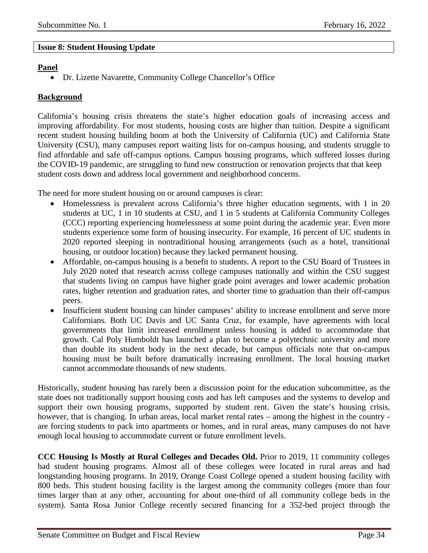#### <span id="page-33-0"></span>**Issue 8: Student Housing Update**

#### **Panel**

• Dr. Lizette Navarette, Community College Chancellor's Office

#### **Background**

California's housing crisis threatens the state's higher education goals of increasing access and improving affordability. For most students, housing costs are higher than tuition. Despite a significant recent student housing building boom at both the University of California (UC) and California State University (CSU), many campuses report waiting lists for on-campus housing, and students struggle to find affordable and safe off-campus options. Campus housing programs, which suffered losses during the COVID-19 pandemic, are struggling to fund new construction or renovation projects that that keep student costs down and address local government and neighborhood concerns.

The need for more student housing on or around campuses is clear:

- Homelessness is prevalent across California's three higher education segments, with 1 in 20 students at UC, 1 in 10 students at CSU, and 1 in 5 students at California Community Colleges (CCC) reporting experiencing homelessness at some point during the academic year. Even more students experience some form of housing insecurity. For example, 16 percent of UC students in 2020 reported sleeping in nontraditional housing arrangements (such as a hotel, transitional housing, or outdoor location) because they lacked permanent housing.
- Affordable, on-campus housing is a benefit to students. A report to the CSU Board of Trustees in July 2020 noted that research across college campuses nationally and within the CSU suggest that students living on campus have higher grade point averages and lower academic probation rates, higher retention and graduation rates, and shorter time to graduation than their off-campus peers.
- Insufficient student housing can hinder campuses' ability to increase enrollment and serve more Californians. Both UC Davis and UC Santa Cruz, for example, have agreements with local governments that limit increased enrollment unless housing is added to accommodate that growth. Cal Poly Humboldt has launched a plan to become a polytechnic university and more than double its student body in the next decade, but campus officials note that on-campus housing must be built before dramatically increasing enrollment. The local housing market cannot accommodate thousands of new students.

Historically, student housing has rarely been a discussion point for the education subcommittee, as the state does not traditionally support housing costs and has left campuses and the systems to develop and support their own housing programs, supported by student rent. Given the state's housing crisis, however, that is changing. In urban areas, local market rental rates – among the highest in the country are forcing students to pack into apartments or homes, and in rural areas, many campuses do not have enough local housing to accommodate current or future enrollment levels.

**CCC Housing Is Mostly at Rural Colleges and Decades Old.** Prior to 2019, 11 community colleges had student housing programs. Almost all of these colleges were located in rural areas and had longstanding housing programs. In 2019, Orange Coast College opened a student housing facility with 800 beds. This student housing facility is the largest among the community colleges (more than four times larger than at any other, accounting for about one-third of all community college beds in the system). Santa Rosa Junior College recently secured financing for a 352-bed project through the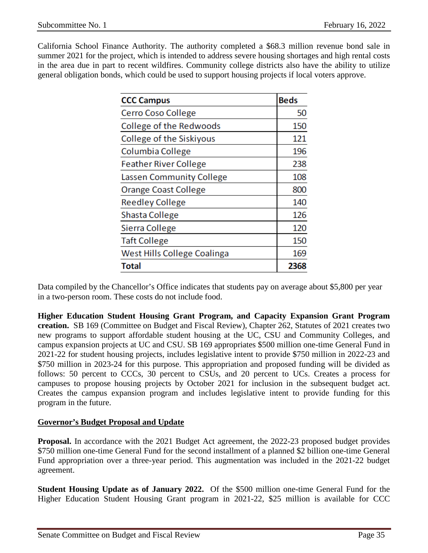California School Finance Authority. The authority completed a \$68.3 million revenue bond sale in summer 2021 for the project, which is intended to address severe housing shortages and high rental costs in the area due in part to recent wildfires. Community college districts also have the ability to utilize general obligation bonds, which could be used to support housing projects if local voters approve.

| <b>CCC Campus</b>            | <b>Beds</b> |
|------------------------------|-------------|
| Cerro Coso College           | 50          |
| College of the Redwoods      | 150         |
| College of the Siskiyous     | 121         |
| Columbia College             | 196         |
| <b>Feather River College</b> | 238         |
| Lassen Community College     | 108         |
| <b>Orange Coast College</b>  | 800         |
| <b>Reedley College</b>       | 140         |
| Shasta College               | 126         |
| Sierra College               | 120         |
| <b>Taft College</b>          | 150         |
| West Hills College Coalinga  | 169         |
| Total                        | 2368        |

Data compiled by the Chancellor's Office indicates that students pay on average about \$5,800 per year in a two-person room. These costs do not include food.

**Higher Education Student Housing Grant Program, and Capacity Expansion Grant Program creation.** SB 169 (Committee on Budget and Fiscal Review), Chapter 262, Statutes of 2021 creates two new programs to support affordable student housing at the UC, CSU and Community Colleges, and campus expansion projects at UC and CSU. SB 169 appropriates \$500 million one-time General Fund in 2021-22 for student housing projects, includes legislative intent to provide \$750 million in 2022-23 and \$750 million in 2023-24 for this purpose. This appropriation and proposed funding will be divided as follows: 50 percent to CCCs, 30 percent to CSUs, and 20 percent to UCs. Creates a process for campuses to propose housing projects by October 2021 for inclusion in the subsequent budget act. Creates the campus expansion program and includes legislative intent to provide funding for this program in the future.

#### **Governor's Budget Proposal and Update**

**Proposal.** In accordance with the 2021 Budget Act agreement, the 2022-23 proposed budget provides \$750 million one-time General Fund for the second installment of a planned \$2 billion one-time General Fund appropriation over a three-year period. This augmentation was included in the 2021-22 budget agreement.

**Student Housing Update as of January 2022.** Of the \$500 million one-time General Fund for the Higher Education Student Housing Grant program in 2021-22, \$25 million is available for CCC